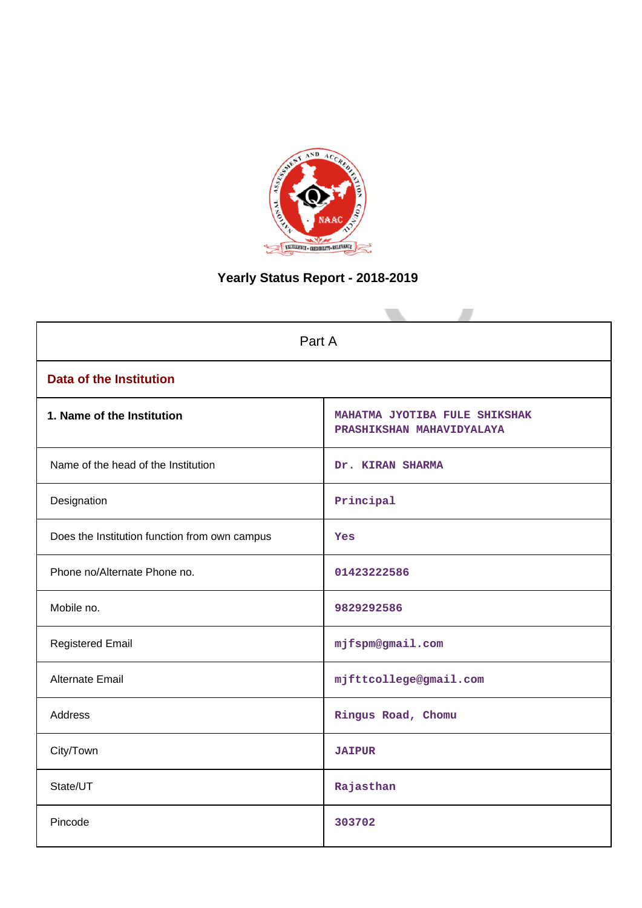

# **Yearly Status Report - 2018-2019**

| Part A                                        |                                                            |  |  |  |  |
|-----------------------------------------------|------------------------------------------------------------|--|--|--|--|
| <b>Data of the Institution</b>                |                                                            |  |  |  |  |
| 1. Name of the Institution                    | MAHATMA JYOTIBA FULE SHIKSHAK<br>PRASHIKSHAN MAHAVIDYALAYA |  |  |  |  |
| Name of the head of the Institution           | Dr. KIRAN SHARMA                                           |  |  |  |  |
| Designation                                   | Principal                                                  |  |  |  |  |
| Does the Institution function from own campus | Yes                                                        |  |  |  |  |
| Phone no/Alternate Phone no.                  | 01423222586                                                |  |  |  |  |
| Mobile no.                                    | 9829292586                                                 |  |  |  |  |
| <b>Registered Email</b>                       | mjfspm@gmail.com                                           |  |  |  |  |
| Alternate Email                               | mjfttcollege@gmail.com                                     |  |  |  |  |
| <b>Address</b>                                | Ringus Road, Chomu                                         |  |  |  |  |
| City/Town                                     | <b>JAIPUR</b>                                              |  |  |  |  |
| State/UT                                      | Rajasthan                                                  |  |  |  |  |
| Pincode                                       | 303702                                                     |  |  |  |  |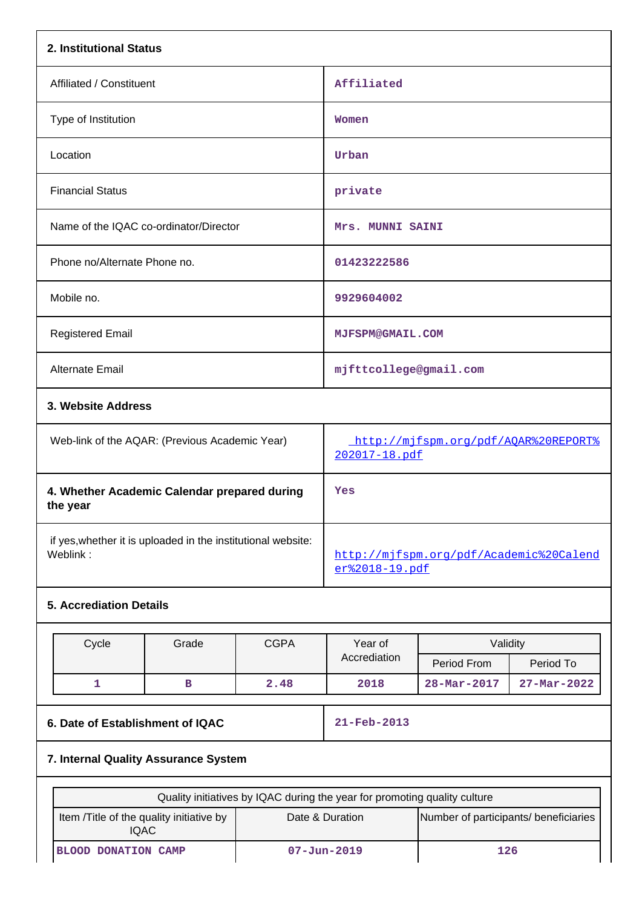| Affiliated<br>Women<br>Urban                              |                                                                         |                                                                                                                                                                               |  |  |  |
|-----------------------------------------------------------|-------------------------------------------------------------------------|-------------------------------------------------------------------------------------------------------------------------------------------------------------------------------|--|--|--|
|                                                           |                                                                         |                                                                                                                                                                               |  |  |  |
|                                                           |                                                                         |                                                                                                                                                                               |  |  |  |
|                                                           |                                                                         |                                                                                                                                                                               |  |  |  |
|                                                           |                                                                         |                                                                                                                                                                               |  |  |  |
|                                                           |                                                                         |                                                                                                                                                                               |  |  |  |
|                                                           |                                                                         |                                                                                                                                                                               |  |  |  |
|                                                           |                                                                         |                                                                                                                                                                               |  |  |  |
|                                                           |                                                                         |                                                                                                                                                                               |  |  |  |
|                                                           |                                                                         |                                                                                                                                                                               |  |  |  |
|                                                           |                                                                         |                                                                                                                                                                               |  |  |  |
|                                                           |                                                                         |                                                                                                                                                                               |  |  |  |
| http://mjfspm.org/pdf/AQAR%20REPORT%<br>202017-18.pdf     |                                                                         |                                                                                                                                                                               |  |  |  |
| Yes                                                       |                                                                         |                                                                                                                                                                               |  |  |  |
| http://mjfspm.org/pdf/Academic%20Calend<br>er%2018-19.pdf |                                                                         |                                                                                                                                                                               |  |  |  |
|                                                           |                                                                         |                                                                                                                                                                               |  |  |  |
|                                                           |                                                                         |                                                                                                                                                                               |  |  |  |
|                                                           |                                                                         | Period To                                                                                                                                                                     |  |  |  |
|                                                           | 28-Mar-2017                                                             | $27 - Mar - 2022$                                                                                                                                                             |  |  |  |
| 21-Feb-2013                                               |                                                                         |                                                                                                                                                                               |  |  |  |
| 7. Internal Quality Assurance System                      |                                                                         |                                                                                                                                                                               |  |  |  |
|                                                           |                                                                         |                                                                                                                                                                               |  |  |  |
| Date & Duration<br>Number of participants/ beneficiaries  |                                                                         |                                                                                                                                                                               |  |  |  |
|                                                           | private<br>01423222586<br>9929604002<br>Year of<br>Accrediation<br>2018 | Mrs. MUNNI SAINI<br><b>MJFSPM@GMAIL.COM</b><br>mjfttcollege@gmail.com<br>Validity<br>Period From<br>Quality initiatives by IQAC during the year for promoting quality culture |  |  |  |

IQAC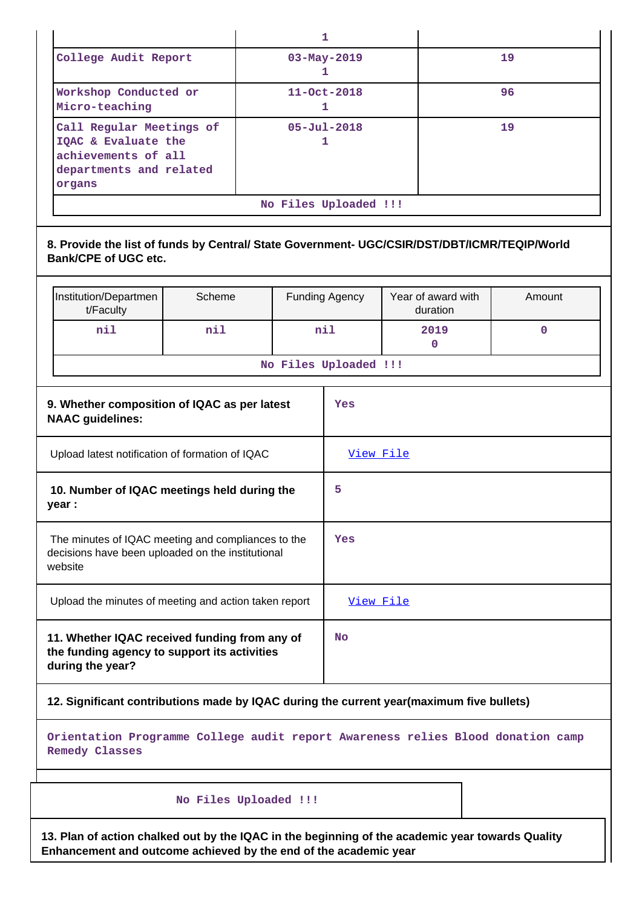|                                                                                                                   |                                                                                                                             |                  |  |                        | 1                      |  |                                |             |
|-------------------------------------------------------------------------------------------------------------------|-----------------------------------------------------------------------------------------------------------------------------|------------------|--|------------------------|------------------------|--|--------------------------------|-------------|
| College Audit Report                                                                                              |                                                                                                                             | 03-May-2019<br>1 |  | 19                     |                        |  |                                |             |
|                                                                                                                   | Workshop Conducted or<br>Micro-teaching                                                                                     |                  |  |                        | $11 - Oct - 2018$<br>1 |  |                                | 96          |
|                                                                                                                   | Call Regular Meetings of<br>IQAC & Evaluate the<br>achievements of all<br>departments and related<br>organs                 |                  |  | $05 - Ju1 - 2018$<br>1 |                        |  | 19                             |             |
|                                                                                                                   |                                                                                                                             |                  |  |                        | No Files Uploaded !!!  |  |                                |             |
|                                                                                                                   | 8. Provide the list of funds by Central/ State Government- UGC/CSIR/DST/DBT/ICMR/TEQIP/World<br><b>Bank/CPE of UGC etc.</b> |                  |  |                        |                        |  |                                |             |
|                                                                                                                   | Institution/Departmen<br>t/Faculty                                                                                          | Scheme           |  |                        | <b>Funding Agency</b>  |  | Year of award with<br>duration | Amount      |
|                                                                                                                   | nil                                                                                                                         | nil              |  |                        | min                    |  | 2019<br>$\mathbf{0}$           | $\mathbf 0$ |
|                                                                                                                   |                                                                                                                             |                  |  |                        | No Files Uploaded !!!  |  |                                |             |
|                                                                                                                   | 9. Whether composition of IQAC as per latest<br>Yes<br><b>NAAC</b> guidelines:                                              |                  |  |                        |                        |  |                                |             |
|                                                                                                                   | Upload latest notification of formation of IQAC                                                                             |                  |  |                        | View File              |  |                                |             |
|                                                                                                                   | 10. Number of IQAC meetings held during the<br>year :                                                                       |                  |  |                        | 5                      |  |                                |             |
|                                                                                                                   | The minutes of IQAC meeting and compliances to the<br>decisions have been uploaded on the institutional<br>website          |                  |  |                        | Yes                    |  |                                |             |
|                                                                                                                   | Upload the minutes of meeting and action taken report                                                                       |                  |  |                        | View File              |  |                                |             |
| 11. Whether IQAC received funding from any of<br>the funding agency to support its activities<br>during the year? |                                                                                                                             |                  |  |                        | <b>No</b>              |  |                                |             |
| 12. Significant contributions made by IQAC during the current year(maximum five bullets)                          |                                                                                                                             |                  |  |                        |                        |  |                                |             |
|                                                                                                                   | Orientation Programme College audit report Awareness relies Blood donation camp<br><b>Remedy Classes</b>                    |                  |  |                        |                        |  |                                |             |
|                                                                                                                   | No Files Uploaded !!!                                                                                                       |                  |  |                        |                        |  |                                |             |
|                                                                                                                   | 13. Plan of action chalked out by the IQAC in the beginning of the academic year towards Quality                            |                  |  |                        |                        |  |                                |             |

**Enhancement and outcome achieved by the end of the academic year**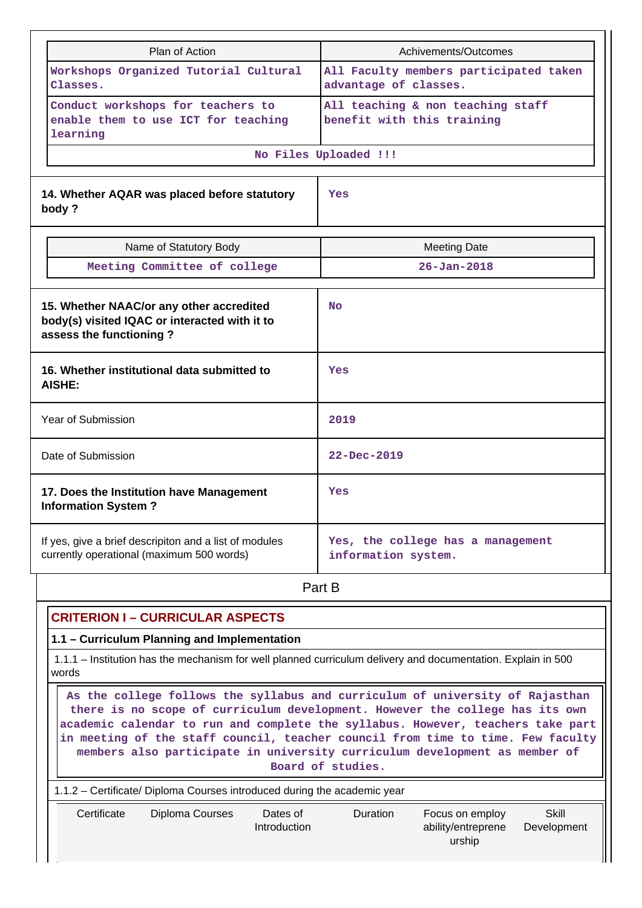| Plan of Action                                                                                                                                                                                                                                                                                                                                                                                                                         | Achivements/Outcomes                                                                              |  |  |  |  |
|----------------------------------------------------------------------------------------------------------------------------------------------------------------------------------------------------------------------------------------------------------------------------------------------------------------------------------------------------------------------------------------------------------------------------------------|---------------------------------------------------------------------------------------------------|--|--|--|--|
| Workshops Organized Tutorial Cultural<br>Classes.                                                                                                                                                                                                                                                                                                                                                                                      | All Faculty members participated taken<br>advantage of classes.                                   |  |  |  |  |
| Conduct workshops for teachers to<br>enable them to use ICT for teaching<br>learning                                                                                                                                                                                                                                                                                                                                                   | All teaching & non teaching staff<br>benefit with this training                                   |  |  |  |  |
|                                                                                                                                                                                                                                                                                                                                                                                                                                        | No Files Uploaded !!!                                                                             |  |  |  |  |
| 14. Whether AQAR was placed before statutory<br>body?                                                                                                                                                                                                                                                                                                                                                                                  | Yes                                                                                               |  |  |  |  |
| Name of Statutory Body                                                                                                                                                                                                                                                                                                                                                                                                                 | <b>Meeting Date</b>                                                                               |  |  |  |  |
| Meeting Committee of college                                                                                                                                                                                                                                                                                                                                                                                                           | $26 - Jan - 2018$                                                                                 |  |  |  |  |
| 15. Whether NAAC/or any other accredited<br>body(s) visited IQAC or interacted with it to<br>assess the functioning?                                                                                                                                                                                                                                                                                                                   | <b>No</b>                                                                                         |  |  |  |  |
| 16. Whether institutional data submitted to<br>AISHE:                                                                                                                                                                                                                                                                                                                                                                                  | Yes                                                                                               |  |  |  |  |
| Year of Submission                                                                                                                                                                                                                                                                                                                                                                                                                     | 2019                                                                                              |  |  |  |  |
| Date of Submission                                                                                                                                                                                                                                                                                                                                                                                                                     | $22 - Dec - 2019$                                                                                 |  |  |  |  |
| 17. Does the Institution have Management<br><b>Information System?</b>                                                                                                                                                                                                                                                                                                                                                                 | Yes                                                                                               |  |  |  |  |
| If yes, give a brief descripiton and a list of modules<br>currently operational (maximum 500 words)                                                                                                                                                                                                                                                                                                                                    | Yes, the college has a management<br>information system.                                          |  |  |  |  |
|                                                                                                                                                                                                                                                                                                                                                                                                                                        | Part B                                                                                            |  |  |  |  |
| <b>CRITERION I - CURRICULAR ASPECTS</b>                                                                                                                                                                                                                                                                                                                                                                                                |                                                                                                   |  |  |  |  |
| 1.1 - Curriculum Planning and Implementation                                                                                                                                                                                                                                                                                                                                                                                           |                                                                                                   |  |  |  |  |
| 1.1.1 – Institution has the mechanism for well planned curriculum delivery and documentation. Explain in 500<br>words                                                                                                                                                                                                                                                                                                                  |                                                                                                   |  |  |  |  |
| As the college follows the syllabus and curriculum of university of Rajasthan<br>there is no scope of curriculum development. However the college has its own<br>academic calendar to run and complete the syllabus. However, teachers take part<br>in meeting of the staff council, teacher council from time to time. Few faculty<br>members also participate in university curriculum development as member of<br>Board of studies. |                                                                                                   |  |  |  |  |
| 1.1.2 - Certificate/ Diploma Courses introduced during the academic year                                                                                                                                                                                                                                                                                                                                                               |                                                                                                   |  |  |  |  |
| Certificate<br><b>Diploma Courses</b><br>Dates of<br>Introduction                                                                                                                                                                                                                                                                                                                                                                      | <b>Skill</b><br><b>Duration</b><br>Focus on employ<br>ability/entreprene<br>Development<br>urship |  |  |  |  |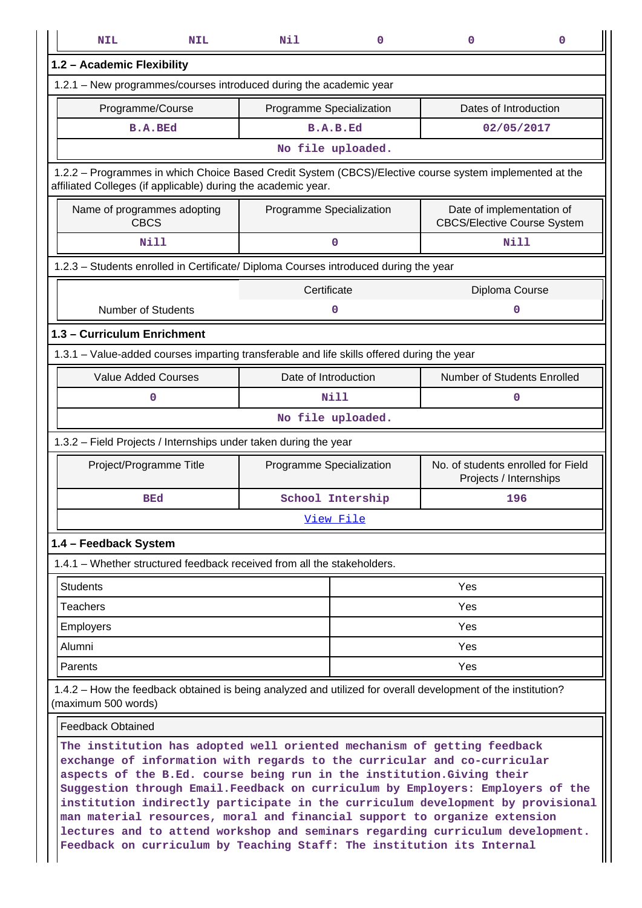| <b>NIL</b>                                                                                                                                                                                                                                                                                                       | <b>NIL</b> | Nil                      | $\mathbf 0$ | 0                                                               | 0 |  |  |
|------------------------------------------------------------------------------------------------------------------------------------------------------------------------------------------------------------------------------------------------------------------------------------------------------------------|------------|--------------------------|-------------|-----------------------------------------------------------------|---|--|--|
| 1.2 - Academic Flexibility                                                                                                                                                                                                                                                                                       |            |                          |             |                                                                 |   |  |  |
| 1.2.1 - New programmes/courses introduced during the academic year                                                                                                                                                                                                                                               |            |                          |             |                                                                 |   |  |  |
| Programme/Course                                                                                                                                                                                                                                                                                                 |            | Programme Specialization |             | Dates of Introduction                                           |   |  |  |
| <b>B.A.BEd</b>                                                                                                                                                                                                                                                                                                   |            | B.A.B.Ed                 |             | 02/05/2017                                                      |   |  |  |
|                                                                                                                                                                                                                                                                                                                  |            | No file uploaded.        |             |                                                                 |   |  |  |
| 1.2.2 - Programmes in which Choice Based Credit System (CBCS)/Elective course system implemented at the<br>affiliated Colleges (if applicable) during the academic year.                                                                                                                                         |            |                          |             |                                                                 |   |  |  |
| Name of programmes adopting<br><b>CBCS</b>                                                                                                                                                                                                                                                                       |            | Programme Specialization |             | Date of implementation of<br><b>CBCS/Elective Course System</b> |   |  |  |
| <b>Nill</b>                                                                                                                                                                                                                                                                                                      |            | $\mathbf 0$              |             | <b>Nill</b>                                                     |   |  |  |
| 1.2.3 - Students enrolled in Certificate/ Diploma Courses introduced during the year                                                                                                                                                                                                                             |            |                          |             |                                                                 |   |  |  |
|                                                                                                                                                                                                                                                                                                                  |            | Certificate              |             | Diploma Course                                                  |   |  |  |
| <b>Number of Students</b>                                                                                                                                                                                                                                                                                        |            | 0                        |             | 0                                                               |   |  |  |
| 1.3 - Curriculum Enrichment                                                                                                                                                                                                                                                                                      |            |                          |             |                                                                 |   |  |  |
| 1.3.1 - Value-added courses imparting transferable and life skills offered during the year                                                                                                                                                                                                                       |            |                          |             |                                                                 |   |  |  |
| <b>Value Added Courses</b>                                                                                                                                                                                                                                                                                       |            | Date of Introduction     |             | Number of Students Enrolled                                     |   |  |  |
| 0                                                                                                                                                                                                                                                                                                                |            | Nill                     |             | 0                                                               |   |  |  |
| No file uploaded.                                                                                                                                                                                                                                                                                                |            |                          |             |                                                                 |   |  |  |
| 1.3.2 - Field Projects / Internships under taken during the year                                                                                                                                                                                                                                                 |            |                          |             |                                                                 |   |  |  |
| Project/Programme Title                                                                                                                                                                                                                                                                                          |            | Programme Specialization |             | No. of students enrolled for Field<br>Projects / Internships    |   |  |  |
| BEd                                                                                                                                                                                                                                                                                                              |            | School Intership         |             | 196                                                             |   |  |  |
|                                                                                                                                                                                                                                                                                                                  |            | View File                |             |                                                                 |   |  |  |
| 1.4 - Feedback System                                                                                                                                                                                                                                                                                            |            |                          |             |                                                                 |   |  |  |
| 1.4.1 - Whether structured feedback received from all the stakeholders.                                                                                                                                                                                                                                          |            |                          |             |                                                                 |   |  |  |
| <b>Students</b>                                                                                                                                                                                                                                                                                                  |            |                          |             | Yes                                                             |   |  |  |
| <b>Teachers</b>                                                                                                                                                                                                                                                                                                  |            |                          |             | Yes                                                             |   |  |  |
| <b>Employers</b>                                                                                                                                                                                                                                                                                                 |            |                          |             | Yes                                                             |   |  |  |
| Alumni                                                                                                                                                                                                                                                                                                           |            |                          |             | Yes                                                             |   |  |  |
| Parents                                                                                                                                                                                                                                                                                                          |            |                          |             | Yes                                                             |   |  |  |
| 1.4.2 – How the feedback obtained is being analyzed and utilized for overall development of the institution?<br>(maximum 500 words)                                                                                                                                                                              |            |                          |             |                                                                 |   |  |  |
| <b>Feedback Obtained</b>                                                                                                                                                                                                                                                                                         |            |                          |             |                                                                 |   |  |  |
| The institution has adopted well oriented mechanism of getting feedback<br>exchange of information with regards to the curricular and co-curricular<br>aspects of the B.Ed. course being run in the institution. Giving their<br>Suggestion through Email. Feedback on curriculum by Employers: Employers of the |            |                          |             |                                                                 |   |  |  |

**institution indirectly participate in the curriculum development by provisional man material resources, moral and financial support to organize extension lectures and to attend workshop and seminars regarding curriculum development. Feedback on curriculum by Teaching Staff: The institution its Internal**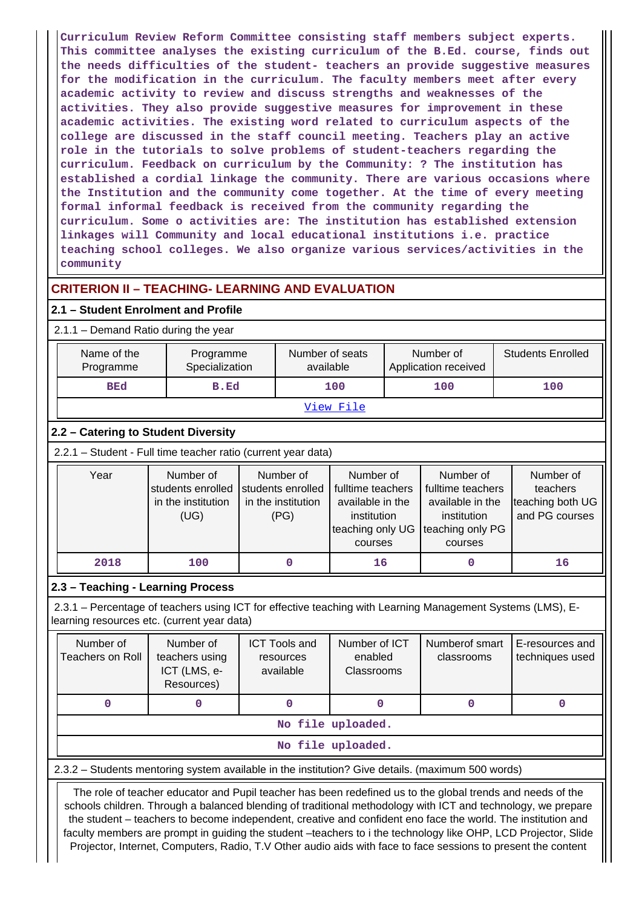**Curriculum Review Reform Committee consisting staff members subject experts. This committee analyses the existing curriculum of the B.Ed. course, finds out the needs difficulties of the student- teachers an provide suggestive measures for the modification in the curriculum. The faculty members meet after every academic activity to review and discuss strengths and weaknesses of the activities. They also provide suggestive measures for improvement in these academic activities. The existing word related to curriculum aspects of the college are discussed in the staff council meeting. Teachers play an active role in the tutorials to solve problems of student-teachers regarding the curriculum. Feedback on curriculum by the Community: ? The institution has established a cordial linkage the community. There are various occasions where the Institution and the community come together. At the time of every meeting formal informal feedback is received from the community regarding the curriculum. Some o activities are: The institution has established extension linkages will Community and local educational institutions i.e. practice teaching school colleges. We also organize various services/activities in the community**

# **CRITERION II – TEACHING- LEARNING AND EVALUATION**

#### **2.1 – Student Enrolment and Profile**

2.1.1 – Demand Ratio during the year

| Name of the<br>Programme                                                                                                                                  | Programme<br>Specialization                                  |                                                                                                                                                                                                                                                                      | Number of seats<br>available                   |                                        |                                                             | Number of<br>Application received |     | <b>Students Enrolled</b>           |
|-----------------------------------------------------------------------------------------------------------------------------------------------------------|--------------------------------------------------------------|----------------------------------------------------------------------------------------------------------------------------------------------------------------------------------------------------------------------------------------------------------------------|------------------------------------------------|----------------------------------------|-------------------------------------------------------------|-----------------------------------|-----|------------------------------------|
| <b>BEd</b>                                                                                                                                                | B.Ed                                                         |                                                                                                                                                                                                                                                                      | 100                                            |                                        | 100                                                         |                                   | 100 |                                    |
| View File                                                                                                                                                 |                                                              |                                                                                                                                                                                                                                                                      |                                                |                                        |                                                             |                                   |     |                                    |
| 2.2 - Catering to Student Diversity                                                                                                                       |                                                              |                                                                                                                                                                                                                                                                      |                                                |                                        |                                                             |                                   |     |                                    |
| 2.2.1 - Student - Full time teacher ratio (current year data)                                                                                             |                                                              |                                                                                                                                                                                                                                                                      |                                                |                                        |                                                             |                                   |     |                                    |
| Year                                                                                                                                                      | Number of<br>students enrolled<br>in the institution<br>(UG) | Number of<br>Number of<br>Number of<br>students enrolled<br>fulltime teachers<br>fulltime teachers<br>in the institution<br>available in the<br>available in the<br>(PG)<br>institution<br>institution<br>teaching only UG<br>teaching only PG<br>courses<br>courses |                                                |                                        | Number of<br>teachers<br>teaching both UG<br>and PG courses |                                   |     |                                    |
| 2018                                                                                                                                                      | 100                                                          |                                                                                                                                                                                                                                                                      | $\mathbf 0$                                    | 16                                     |                                                             | $\mathbf 0$                       |     | 16                                 |
| 2.3 - Teaching - Learning Process                                                                                                                         |                                                              |                                                                                                                                                                                                                                                                      |                                                |                                        |                                                             |                                   |     |                                    |
| 2.3.1 – Percentage of teachers using ICT for effective teaching with Learning Management Systems (LMS), E-<br>learning resources etc. (current year data) |                                                              |                                                                                                                                                                                                                                                                      |                                                |                                        |                                                             |                                   |     |                                    |
| Number of<br><b>Teachers on Roll</b>                                                                                                                      | Number of<br>teachers using<br>ICT (LMS, e-<br>Resources)    |                                                                                                                                                                                                                                                                      | <b>ICT Tools and</b><br>resources<br>available | Number of ICT<br>enabled<br>Classrooms |                                                             | Numberof smart<br>classrooms      |     | E-resources and<br>techniques used |
| 0                                                                                                                                                         | 0                                                            |                                                                                                                                                                                                                                                                      | 0                                              | 0                                      |                                                             | $\mathbf 0$                       |     | 0                                  |

**No file uploaded.**

#### **No file uploaded.**

2.3.2 – Students mentoring system available in the institution? Give details. (maximum 500 words)

 The role of teacher educator and Pupil teacher has been redefined us to the global trends and needs of the schools children. Through a balanced blending of traditional methodology with ICT and technology, we prepare the student – teachers to become independent, creative and confident eno face the world. The institution and faculty members are prompt in guiding the student –teachers to i the technology like OHP, LCD Projector, Slide Projector, Internet, Computers, Radio, T.V Other audio aids with face to face sessions to present the content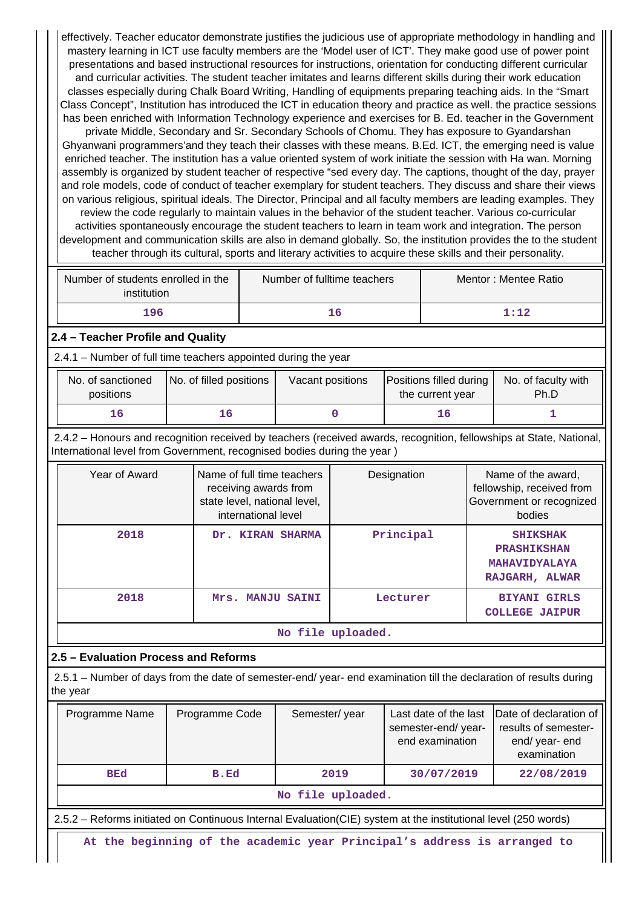effectively. Teacher educator demonstrate justifies the judicious use of appropriate methodology in handling and mastery learning in ICT use faculty members are the 'Model user of ICT'. They make good use of power point presentations and based instructional resources for instructions, orientation for conducting different curricular and curricular activities. The student teacher imitates and learns different skills during their work education classes especially during Chalk Board Writing, Handling of equipments preparing teaching aids. In the "Smart Class Concept", Institution has introduced the ICT in education theory and practice as well. the practice sessions has been enriched with Information Technology experience and exercises for B. Ed. teacher in the Government private Middle, Secondary and Sr. Secondary Schools of Chomu. They has exposure to Gyandarshan Ghyanwani programmers'and they teach their classes with these means. B.Ed. ICT, the emerging need is value enriched teacher. The institution has a value oriented system of work initiate the session with Ha wan. Morning assembly is organized by student teacher of respective "sed every day. The captions, thought of the day, prayer and role models, code of conduct of teacher exemplary for student teachers. They discuss and share their views on various religious, spiritual ideals. The Director, Principal and all faculty members are leading examples. They review the code regularly to maintain values in the behavior of the student teacher. Various co-curricular activities spontaneously encourage the student teachers to learn in team work and integration. The person development and communication skills are also in demand globally. So, the institution provides the to the student teacher through its cultural, sports and literary activities to acquire these skills and their personality.

| Number of students enrolled in the<br>institution | Number of fulltime teachers | Mentor: Mentee Ratio |
|---------------------------------------------------|-----------------------------|----------------------|
| 196                                               | 16                          | 1:12                 |

# **2.4 – Teacher Profile and Quality**

2.4.1 – Number of full time teachers appointed during the year

| No. of sanctioned<br>positions | No. of filled positions | Vacant positions | Positions filled during<br>the current year | No. of faculty with<br>Ph.D |
|--------------------------------|-------------------------|------------------|---------------------------------------------|-----------------------------|
| 16                             |                         |                  | TР.                                         |                             |

 2.4.2 – Honours and recognition received by teachers (received awards, recognition, fellowships at State, National, International level from Government, recognised bodies during the year )

| Year of Award           | Name of full time teachers<br>receiving awards from<br>state level, national level,<br>international level | Designation | Name of the award,<br>fellowship, received from<br>Government or recognized<br>bodies |  |  |  |  |  |  |
|-------------------------|------------------------------------------------------------------------------------------------------------|-------------|---------------------------------------------------------------------------------------|--|--|--|--|--|--|
| 2018                    | Dr. KIRAN SHARMA                                                                                           | Principal   | <b>SHIKSHAK</b><br><b>PRASHIKSHAN</b><br><b>MAHAVIDYALAYA</b><br>RAJGARH, ALWAR       |  |  |  |  |  |  |
| 2018                    | Mrs. MANJU SAINI                                                                                           | Lecturer    | <b>BIYANI GIRLS</b><br><b>COLLEGE JAIPUR</b>                                          |  |  |  |  |  |  |
| ata 1410 a confidential |                                                                                                            |             |                                                                                       |  |  |  |  |  |  |

**No file uploaded.**

## **2.5 – Evaluation Process and Reforms**

 2.5.1 – Number of days from the date of semester-end/ year- end examination till the declaration of results during the year

| Programme Name    | Programme Code | Semester/year | semester-end/year-<br>end examination | Last date of the last  Date of declaration of  <br>results of semester-<br>end/year-end<br>examination |  |  |
|-------------------|----------------|---------------|---------------------------------------|--------------------------------------------------------------------------------------------------------|--|--|
| <b>BEd</b>        | B.Ed           | 2019          | 30/07/2019                            | 22/08/2019                                                                                             |  |  |
| No file uploaded. |                |               |                                       |                                                                                                        |  |  |

2.5.2 – Reforms initiated on Continuous Internal Evaluation(CIE) system at the institutional level (250 words)

**At the beginning of the academic year Principal's address is arranged to**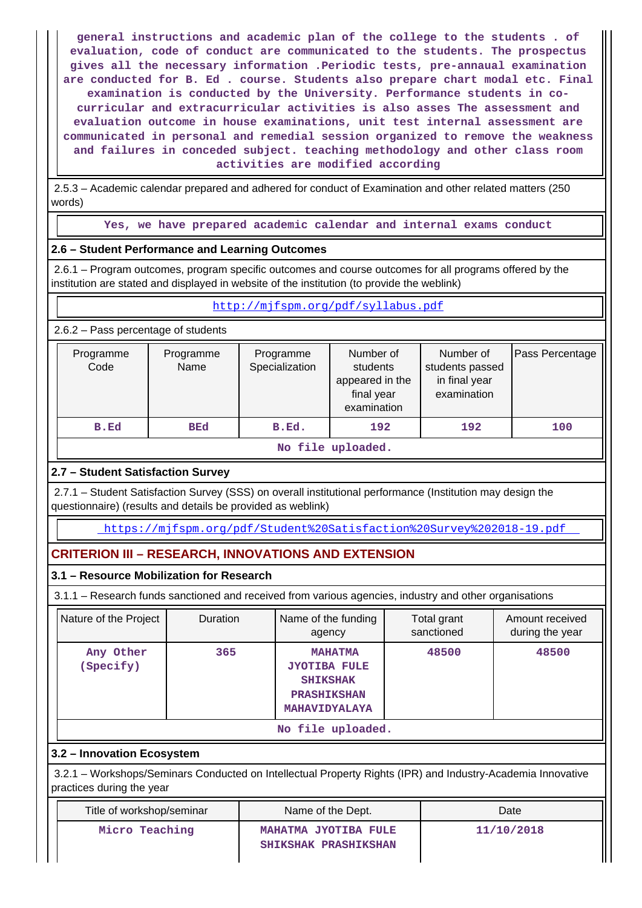**general instructions and academic plan of the college to the students . of evaluation, code of conduct are communicated to the students. The prospectus gives all the necessary information .Periodic tests, pre-annaual examination are conducted for B. Ed . course. Students also prepare chart modal etc. Final examination is conducted by the University. Performance students in cocurricular and extracurricular activities is also asses The assessment and evaluation outcome in house examinations, unit test internal assessment are communicated in personal and remedial session organized to remove the weakness and failures in conceded subject. teaching methodology and other class room activities are modified according**

 2.5.3 – Academic calendar prepared and adhered for conduct of Examination and other related matters (250 words)

**Yes, we have prepared academic calendar and internal exams conduct**

## **2.6 – Student Performance and Learning Outcomes**

 2.6.1 – Program outcomes, program specific outcomes and course outcomes for all programs offered by the institution are stated and displayed in website of the institution (to provide the weblink)

#### <http://mjfspm.org/pdf/syllabus.pdf>

2.6.2 – Pass percentage of students

| Programme<br>Code | Programme<br>Name | Programme<br>Specialization | Number of<br>students<br>appeared in the<br>final year<br>examination | Number of<br>students passed<br>in final year<br>examination | Pass Percentage |
|-------------------|-------------------|-----------------------------|-----------------------------------------------------------------------|--------------------------------------------------------------|-----------------|
| B.Ed              | <b>BEd</b>        | B.Ed.                       | 192                                                                   | 192                                                          | 100             |
|                   |                   | - - -<br>--                 |                                                                       |                                                              |                 |

**No file uploaded.**

# **2.7 – Student Satisfaction Survey**

 2.7.1 – Student Satisfaction Survey (SSS) on overall institutional performance (Institution may design the questionnaire) (results and details be provided as weblink)

<https://mjfspm.org/pdf/Student%20Satisfaction%20Survey%202018-19.pdf>

# **CRITERION III – RESEARCH, INNOVATIONS AND EXTENSION**

## **3.1 – Resource Mobilization for Research**

3.1.1 – Research funds sanctioned and received from various agencies, industry and other organisations

| Nature of the Project  | <b>Duration</b> | Name of the funding<br>agency                                                                          | Total grant<br>sanctioned | Amount received<br>during the year |  |
|------------------------|-----------------|--------------------------------------------------------------------------------------------------------|---------------------------|------------------------------------|--|
| Any Other<br>(Specify) | 365             | <b>MAHATMA</b><br><b>JYOTIBA FULE</b><br><b>SHIKSHAK</b><br><b>PRASHIKSHAN</b><br><b>MAHAVIDYALAYA</b> | 48500                     | 48500                              |  |
| No file uploaded.      |                 |                                                                                                        |                           |                                    |  |

# **3.2 – Innovation Ecosystem**

 3.2.1 – Workshops/Seminars Conducted on Intellectual Property Rights (IPR) and Industry-Academia Innovative practices during the year

| Title of workshop/seminar | Name of the Dept.                            | Date       |
|---------------------------|----------------------------------------------|------------|
| Micro Teaching            | MAHATMA JYOTIBA FULE<br>SHIKSHAK PRASHIKSHAN | 11/10/2018 |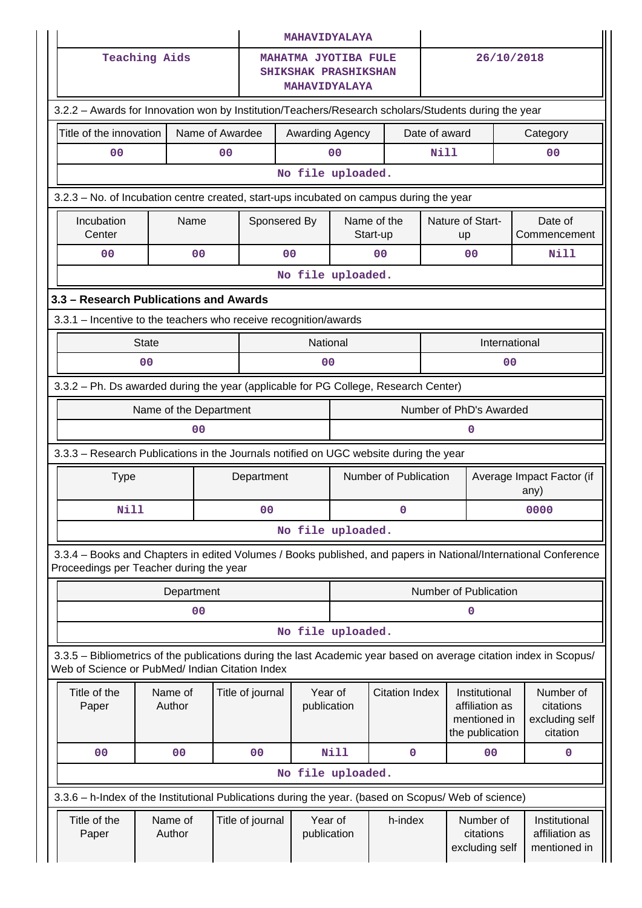|                                                                                                                                                                       |                   |                 |                  | <b>MAHAVIDYALAYA</b>                                                               |                       |                         |                         |                                                                    |                                   |                                                      |
|-----------------------------------------------------------------------------------------------------------------------------------------------------------------------|-------------------|-----------------|------------------|------------------------------------------------------------------------------------|-----------------------|-------------------------|-------------------------|--------------------------------------------------------------------|-----------------------------------|------------------------------------------------------|
| <b>Teaching Aids</b>                                                                                                                                                  |                   |                 |                  | <b>MAHATMA JYOTIBA FULE</b><br><b>SHIKSHAK PRASHIKSHAN</b><br><b>MAHAVIDYALAYA</b> |                       |                         | 26/10/2018              |                                                                    |                                   |                                                      |
| 3.2.2 - Awards for Innovation won by Institution/Teachers/Research scholars/Students during the year                                                                  |                   |                 |                  |                                                                                    |                       |                         |                         |                                                                    |                                   |                                                      |
| Title of the innovation                                                                                                                                               |                   | Name of Awardee |                  |                                                                                    | Awarding Agency       |                         | Date of award           |                                                                    | Category                          |                                                      |
| 0 <sub>0</sub>                                                                                                                                                        |                   | 0 <sub>0</sub>  |                  |                                                                                    | 0 <sub>0</sub>        |                         | <b>Nill</b>             |                                                                    | 00                                |                                                      |
|                                                                                                                                                                       | No file uploaded. |                 |                  |                                                                                    |                       |                         |                         |                                                                    |                                   |                                                      |
| 3.2.3 – No. of Incubation centre created, start-ups incubated on campus during the year                                                                               |                   |                 |                  |                                                                                    |                       |                         |                         |                                                                    |                                   |                                                      |
| Incubation<br>Center                                                                                                                                                  | Name              |                 | Sponsered By     |                                                                                    |                       | Name of the<br>Start-up |                         | Nature of Start-<br>up                                             | Date of<br>Commencement           |                                                      |
| 0 <sub>0</sub>                                                                                                                                                        | 0 <sub>0</sub>    |                 | 0 <sup>0</sup>   |                                                                                    |                       | 0 <sup>0</sup>          |                         | 0 <sub>0</sub>                                                     |                                   | Nill                                                 |
|                                                                                                                                                                       |                   |                 |                  | No file uploaded.                                                                  |                       |                         |                         |                                                                    |                                   |                                                      |
| 3.3 - Research Publications and Awards                                                                                                                                |                   |                 |                  |                                                                                    |                       |                         |                         |                                                                    |                                   |                                                      |
| 3.3.1 - Incentive to the teachers who receive recognition/awards                                                                                                      |                   |                 |                  |                                                                                    |                       |                         |                         |                                                                    |                                   |                                                      |
|                                                                                                                                                                       | <b>State</b>      |                 |                  | National                                                                           |                       |                         |                         | International                                                      |                                   |                                                      |
|                                                                                                                                                                       | 0 <sub>0</sub>    |                 |                  | 0 <sub>0</sub>                                                                     |                       |                         |                         | 00                                                                 |                                   |                                                      |
| 3.3.2 - Ph. Ds awarded during the year (applicable for PG College, Research Center)                                                                                   |                   |                 |                  |                                                                                    |                       |                         |                         |                                                                    |                                   |                                                      |
| Name of the Department                                                                                                                                                |                   |                 |                  |                                                                                    |                       |                         | Number of PhD's Awarded |                                                                    |                                   |                                                      |
|                                                                                                                                                                       | 00                |                 |                  |                                                                                    |                       |                         |                         | 0                                                                  |                                   |                                                      |
| 3.3.3 - Research Publications in the Journals notified on UGC website during the year                                                                                 |                   |                 |                  |                                                                                    |                       |                         |                         |                                                                    |                                   |                                                      |
| <b>Type</b>                                                                                                                                                           |                   |                 | Department       |                                                                                    | Number of Publication |                         |                         |                                                                    | Average Impact Factor (if<br>any) |                                                      |
| Nill                                                                                                                                                                  |                   |                 | 0 <sub>0</sub>   |                                                                                    | $\mathbf 0$           |                         |                         |                                                                    | 0000                              |                                                      |
|                                                                                                                                                                       |                   |                 |                  | No file uploaded.                                                                  |                       |                         |                         |                                                                    |                                   |                                                      |
| 3.3.4 - Books and Chapters in edited Volumes / Books published, and papers in National/International Conference<br>Proceedings per Teacher during the year            |                   |                 |                  |                                                                                    |                       |                         |                         |                                                                    |                                   |                                                      |
|                                                                                                                                                                       | Department        |                 |                  |                                                                                    |                       |                         |                         | Number of Publication                                              |                                   |                                                      |
|                                                                                                                                                                       | 00                |                 |                  |                                                                                    |                       |                         |                         | 0                                                                  |                                   |                                                      |
|                                                                                                                                                                       |                   |                 |                  | No file uploaded.                                                                  |                       |                         |                         |                                                                    |                                   |                                                      |
| 3.3.5 – Bibliometrics of the publications during the last Academic year based on average citation index in Scopus/<br>Web of Science or PubMed/ Indian Citation Index |                   |                 |                  |                                                                                    |                       |                         |                         |                                                                    |                                   |                                                      |
| Title of the<br>Paper                                                                                                                                                 | Name of<br>Author |                 | Title of journal | Year of<br>publication                                                             |                       | <b>Citation Index</b>   |                         | Institutional<br>affiliation as<br>mentioned in<br>the publication |                                   | Number of<br>citations<br>excluding self<br>citation |
| 0 <sub>0</sub>                                                                                                                                                        | 00                |                 | 00               |                                                                                    | Nill                  | $\mathbf 0$             |                         | 00                                                                 |                                   | 0                                                    |
|                                                                                                                                                                       |                   |                 |                  | No file uploaded.                                                                  |                       |                         |                         |                                                                    |                                   |                                                      |
| 3.3.6 - h-Index of the Institutional Publications during the year. (based on Scopus/ Web of science)                                                                  |                   |                 |                  |                                                                                    |                       |                         |                         |                                                                    |                                   |                                                      |
| Title of the<br>Paper                                                                                                                                                 | Name of<br>Author |                 | Title of journal | Year of<br>publication                                                             |                       | h-index                 |                         | Number of<br>citations<br>excluding self                           |                                   | Institutional<br>affiliation as<br>mentioned in      |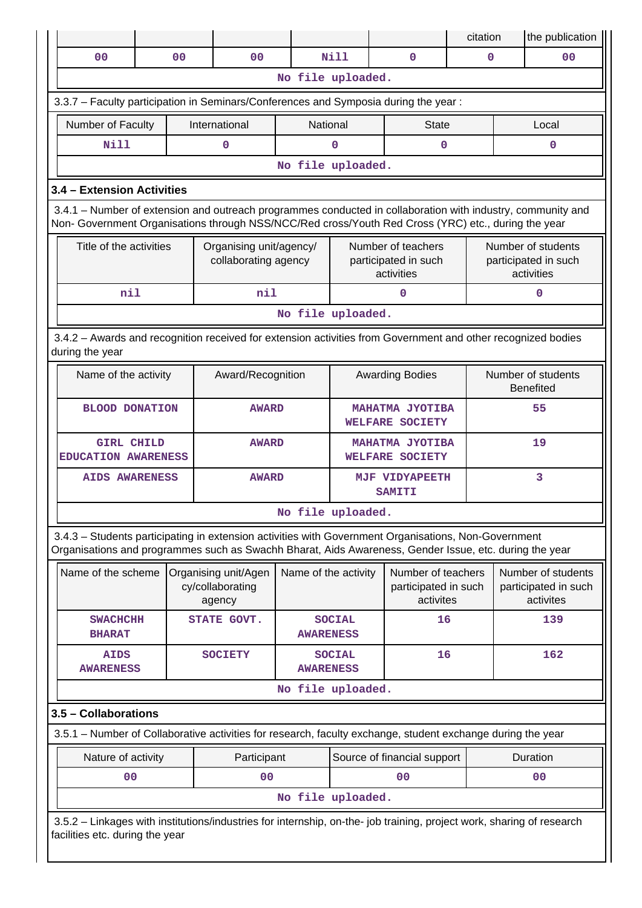|                                                                                                                                                                                                                    |                                       |                   |                                                    |                                           |                                                  |                                                          | citation                               |    | the publication                                          |
|--------------------------------------------------------------------------------------------------------------------------------------------------------------------------------------------------------------------|---------------------------------------|-------------------|----------------------------------------------------|-------------------------------------------|--------------------------------------------------|----------------------------------------------------------|----------------------------------------|----|----------------------------------------------------------|
| 0 <sub>0</sub>                                                                                                                                                                                                     |                                       | 0 <sub>0</sub>    | 0 <sub>0</sub>                                     |                                           | Nill                                             | $\mathbf 0$                                              | 0                                      |    | 0 <sup>0</sup>                                           |
|                                                                                                                                                                                                                    |                                       |                   |                                                    | No file uploaded.                         |                                                  |                                                          |                                        |    |                                                          |
| 3.3.7 - Faculty participation in Seminars/Conferences and Symposia during the year:                                                                                                                                |                                       |                   |                                                    |                                           |                                                  |                                                          |                                        |    |                                                          |
| Number of Faculty                                                                                                                                                                                                  |                                       |                   | International                                      | National                                  |                                                  | <b>State</b>                                             |                                        |    | Local                                                    |
| Nill                                                                                                                                                                                                               |                                       |                   | $\mathbf 0$                                        |                                           | 0                                                | $\mathbf 0$                                              |                                        |    | $\mathbf 0$                                              |
| No file uploaded.                                                                                                                                                                                                  |                                       |                   |                                                    |                                           |                                                  |                                                          |                                        |    |                                                          |
| 3.4 - Extension Activities                                                                                                                                                                                         |                                       |                   |                                                    |                                           |                                                  |                                                          |                                        |    |                                                          |
| 3.4.1 – Number of extension and outreach programmes conducted in collaboration with industry, community and<br>Non- Government Organisations through NSS/NCC/Red cross/Youth Red Cross (YRC) etc., during the year |                                       |                   |                                                    |                                           |                                                  |                                                          |                                        |    |                                                          |
| Title of the activities                                                                                                                                                                                            |                                       |                   | Organising unit/agency/<br>collaborating agency    |                                           |                                                  | Number of teachers<br>participated in such<br>activities |                                        |    | Number of students<br>participated in such<br>activities |
| nil                                                                                                                                                                                                                |                                       |                   | nil                                                |                                           |                                                  | $\mathbf 0$                                              |                                        |    | $\mathbf{0}$                                             |
|                                                                                                                                                                                                                    |                                       |                   |                                                    | No file uploaded.                         |                                                  |                                                          |                                        |    |                                                          |
| 3.4.2 - Awards and recognition received for extension activities from Government and other recognized bodies<br>during the year                                                                                    |                                       |                   |                                                    |                                           |                                                  |                                                          |                                        |    |                                                          |
| Name of the activity                                                                                                                                                                                               |                                       | Award/Recognition | <b>Awarding Bodies</b>                             |                                           |                                                  |                                                          | Number of students<br><b>Benefited</b> |    |                                                          |
|                                                                                                                                                                                                                    | <b>BLOOD DONATION</b><br><b>AWARD</b> |                   |                                                    | <b>MAHATMA JYOTIBA</b><br>WELFARE SOCIETY |                                                  | 55                                                       |                                        |    |                                                          |
| <b>GIRL CHILD</b><br><b>EDUCATION AWARENESS</b>                                                                                                                                                                    |                                       |                   | <b>AWARD</b>                                       |                                           | <b>MAHATMA JYOTIBA</b><br><b>WELFARE SOCIETY</b> |                                                          |                                        | 19 |                                                          |
| <b>AIDS AWARENESS</b>                                                                                                                                                                                              |                                       |                   | <b>AWARD</b>                                       |                                           | <b>MJF VIDYAPEETH</b><br><b>SAMITI</b>           |                                                          | 3                                      |    |                                                          |
|                                                                                                                                                                                                                    |                                       |                   |                                                    | No file uploaded.                         |                                                  |                                                          |                                        |    |                                                          |
| 3.4.3 - Students participating in extension activities with Government Organisations, Non-Government<br>Organisations and programmes such as Swachh Bharat, Aids Awareness, Gender Issue, etc. during the year     |                                       |                   |                                                    |                                           |                                                  |                                                          |                                        |    |                                                          |
| Name of the scheme                                                                                                                                                                                                 |                                       |                   | Organising unit/Agen<br>cy/collaborating<br>agency | Name of the activity                      |                                                  | Number of teachers<br>participated in such<br>activites  |                                        |    | Number of students<br>participated in such<br>activites  |
| <b>SWACHCHH</b><br><b>BHARAT</b>                                                                                                                                                                                   |                                       |                   | STATE GOVT.                                        | <b>AWARENESS</b>                          | <b>SOCIAL</b>                                    | 16                                                       |                                        |    | 139                                                      |
| <b>AIDS</b><br><b>AWARENESS</b>                                                                                                                                                                                    |                                       |                   | <b>SOCIETY</b>                                     | <b>AWARENESS</b>                          | <b>SOCIAL</b>                                    | 16                                                       |                                        |    | 162                                                      |
|                                                                                                                                                                                                                    |                                       |                   |                                                    | No file uploaded.                         |                                                  |                                                          |                                        |    |                                                          |
| 3.5 - Collaborations                                                                                                                                                                                               |                                       |                   |                                                    |                                           |                                                  |                                                          |                                        |    |                                                          |
| 3.5.1 – Number of Collaborative activities for research, faculty exchange, student exchange during the year                                                                                                        |                                       |                   |                                                    |                                           |                                                  |                                                          |                                        |    |                                                          |
| Nature of activity                                                                                                                                                                                                 |                                       |                   | Participant                                        |                                           |                                                  | Source of financial support                              |                                        |    | Duration                                                 |
| 00                                                                                                                                                                                                                 |                                       |                   | 0 <sub>0</sub>                                     |                                           |                                                  | 0 <sub>0</sub>                                           |                                        |    | 0 <sub>0</sub>                                           |
|                                                                                                                                                                                                                    |                                       |                   |                                                    | No file uploaded.                         |                                                  |                                                          |                                        |    |                                                          |
| 3.5.2 - Linkages with institutions/industries for internship, on-the- job training, project work, sharing of research<br>facilities etc. during the year                                                           |                                       |                   |                                                    |                                           |                                                  |                                                          |                                        |    |                                                          |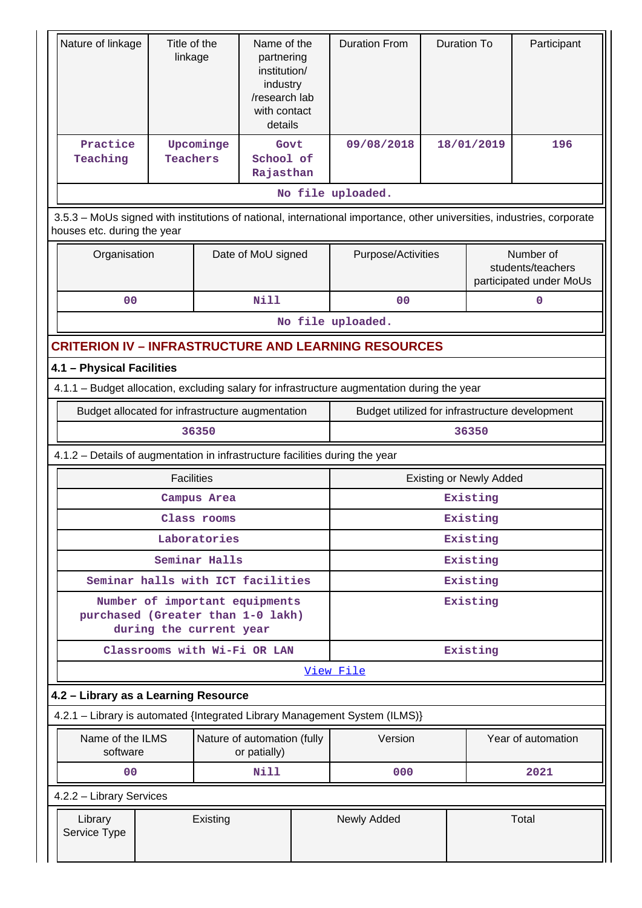| Nature of linkage                                                            | Title of the<br>linkage                                     |               | Name of the<br>partnering<br>institution/<br>industry<br>/research lab<br>with contact<br>details |                                                | <b>Duration From</b>                                                                                                   | <b>Duration To</b> |                                | Participant                                               |
|------------------------------------------------------------------------------|-------------------------------------------------------------|---------------|---------------------------------------------------------------------------------------------------|------------------------------------------------|------------------------------------------------------------------------------------------------------------------------|--------------------|--------------------------------|-----------------------------------------------------------|
| Practice<br>Teaching                                                         | <b>Teachers</b>                                             | Upcominge     | Govt<br>School of<br>Rajasthan                                                                    |                                                | 09/08/2018                                                                                                             |                    | 18/01/2019                     | 196                                                       |
|                                                                              |                                                             |               |                                                                                                   |                                                | No file uploaded.                                                                                                      |                    |                                |                                                           |
| houses etc. during the year                                                  |                                                             |               |                                                                                                   |                                                | 3.5.3 - MoUs signed with institutions of national, international importance, other universities, industries, corporate |                    |                                |                                                           |
| Organisation                                                                 |                                                             |               | Date of MoU signed                                                                                |                                                | Purpose/Activities                                                                                                     |                    |                                | Number of<br>students/teachers<br>participated under MoUs |
| 00                                                                           |                                                             |               | <b>Nill</b>                                                                                       |                                                | 00                                                                                                                     |                    |                                | 0                                                         |
|                                                                              |                                                             |               |                                                                                                   |                                                | No file uploaded.                                                                                                      |                    |                                |                                                           |
|                                                                              | <b>CRITERION IV - INFRASTRUCTURE AND LEARNING RESOURCES</b> |               |                                                                                                   |                                                |                                                                                                                        |                    |                                |                                                           |
| 4.1 - Physical Facilities                                                    |                                                             |               |                                                                                                   |                                                |                                                                                                                        |                    |                                |                                                           |
|                                                                              |                                                             |               |                                                                                                   |                                                | 4.1.1 - Budget allocation, excluding salary for infrastructure augmentation during the year                            |                    |                                |                                                           |
|                                                                              | Budget allocated for infrastructure augmentation            |               |                                                                                                   | Budget utilized for infrastructure development |                                                                                                                        |                    |                                |                                                           |
|                                                                              |                                                             | 36350         |                                                                                                   |                                                |                                                                                                                        |                    | 36350                          |                                                           |
| 4.1.2 - Details of augmentation in infrastructure facilities during the year |                                                             |               |                                                                                                   |                                                |                                                                                                                        |                    |                                |                                                           |
|                                                                              | <b>Facilities</b>                                           |               |                                                                                                   |                                                |                                                                                                                        |                    | <b>Existing or Newly Added</b> |                                                           |
|                                                                              |                                                             | Campus Area   |                                                                                                   |                                                |                                                                                                                        |                    | Existing                       |                                                           |
|                                                                              |                                                             | Class rooms   |                                                                                                   |                                                |                                                                                                                        |                    | Existing                       |                                                           |
|                                                                              |                                                             | Laboratories  |                                                                                                   |                                                | Existing                                                                                                               |                    |                                |                                                           |
|                                                                              |                                                             | Seminar Halls |                                                                                                   |                                                | Existing                                                                                                               |                    |                                |                                                           |
| Seminar halls with ICT facilities                                            |                                                             |               |                                                                                                   |                                                | Existing                                                                                                               |                    |                                |                                                           |
| purchased (Greater than 1-0 lakh)                                            | during the current year                                     |               | Number of important equipments                                                                    |                                                |                                                                                                                        |                    | Existing                       |                                                           |
|                                                                              |                                                             |               | Classrooms with Wi-Fi OR LAN                                                                      |                                                |                                                                                                                        |                    | Existing                       |                                                           |
|                                                                              |                                                             |               |                                                                                                   |                                                | View File                                                                                                              |                    |                                |                                                           |
| 4.2 - Library as a Learning Resource                                         |                                                             |               |                                                                                                   |                                                |                                                                                                                        |                    |                                |                                                           |
|                                                                              |                                                             |               |                                                                                                   |                                                | 4.2.1 - Library is automated {Integrated Library Management System (ILMS)}                                             |                    |                                |                                                           |
| Name of the ILMS<br>software                                                 |                                                             |               | Nature of automation (fully<br>or patially)                                                       |                                                | Version                                                                                                                |                    |                                | Year of automation                                        |
| 0 <sup>0</sup>                                                               |                                                             |               | <b>Nill</b>                                                                                       |                                                | 000                                                                                                                    |                    |                                | 2021                                                      |
| 4.2.2 - Library Services                                                     |                                                             |               |                                                                                                   |                                                |                                                                                                                        |                    |                                |                                                           |
| Library<br>Service Type                                                      |                                                             | Existing      |                                                                                                   |                                                | Newly Added                                                                                                            |                    |                                | Total                                                     |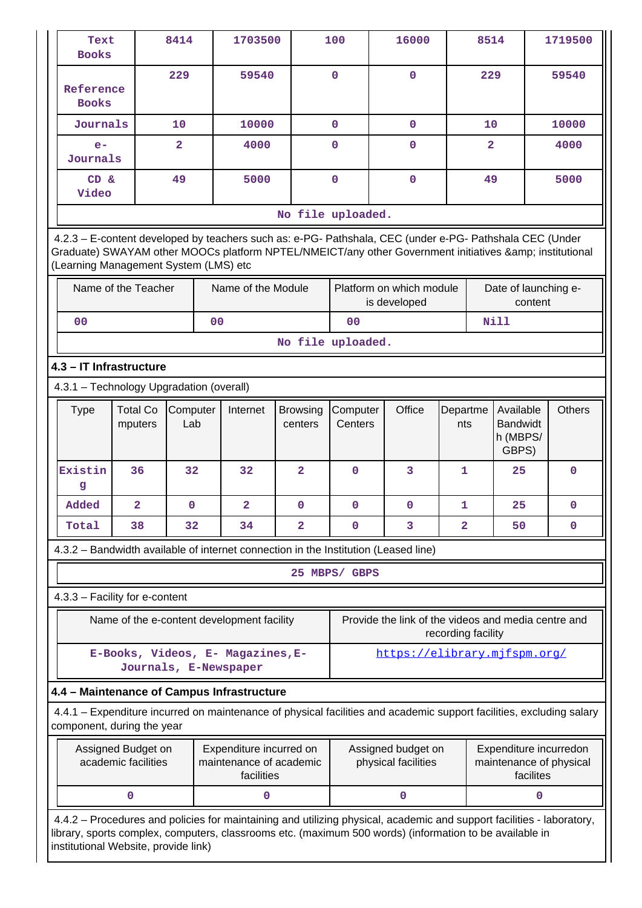| Text<br><b>Books</b>                                                                                                                                                                                                                                                     |                                            | 8414            |                | 1703500                                                          |                            | 100                 |              | 16000                                               |                    | 8514           |                                                   |           | 1719500                                           |
|--------------------------------------------------------------------------------------------------------------------------------------------------------------------------------------------------------------------------------------------------------------------------|--------------------------------------------|-----------------|----------------|------------------------------------------------------------------|----------------------------|---------------------|--------------|-----------------------------------------------------|--------------------|----------------|---------------------------------------------------|-----------|---------------------------------------------------|
| Reference<br><b>Books</b>                                                                                                                                                                                                                                                |                                            | 229             |                | 59540                                                            |                            | $\mathbf 0$         |              | $\mathbf 0$                                         |                    | 229            |                                                   |           | 59540                                             |
| Journals                                                                                                                                                                                                                                                                 |                                            | 10              |                | 10000                                                            |                            | $\mathbf 0$         | $\mathbf{O}$ |                                                     |                    | 10             |                                                   |           | 10000                                             |
| $e-$<br>Journals                                                                                                                                                                                                                                                         |                                            | $\overline{2}$  |                | 4000                                                             |                            | $\mathbf 0$         |              | $\mathbf 0$                                         |                    | $\overline{2}$ |                                                   |           | 4000                                              |
| CD &<br>Video                                                                                                                                                                                                                                                            |                                            | 49              |                | 5000                                                             |                            | $\mathbf 0$         |              | $\mathbf 0$                                         |                    | 49             |                                                   |           | 5000                                              |
|                                                                                                                                                                                                                                                                          |                                            |                 |                |                                                                  | No file uploaded.          |                     |              |                                                     |                    |                |                                                   |           |                                                   |
| 4.2.3 - E-content developed by teachers such as: e-PG- Pathshala, CEC (under e-PG- Pathshala CEC (Under<br>Graduate) SWAYAM other MOOCs platform NPTEL/NMEICT/any other Government initiatives & institutional<br>(Learning Management System (LMS) etc                  |                                            |                 |                |                                                                  |                            |                     |              |                                                     |                    |                |                                                   |           |                                                   |
|                                                                                                                                                                                                                                                                          | Name of the Teacher                        |                 |                | Name of the Module                                               |                            |                     |              | Platform on which module<br>is developed            |                    |                | Date of launching e-                              | content   |                                                   |
| 0 <sub>0</sub>                                                                                                                                                                                                                                                           |                                            |                 | 0 <sub>0</sub> |                                                                  |                            | 0 <sub>0</sub>      |              |                                                     |                    |                | <b>Nill</b>                                       |           |                                                   |
|                                                                                                                                                                                                                                                                          |                                            |                 |                |                                                                  | No file uploaded.          |                     |              |                                                     |                    |                |                                                   |           |                                                   |
|                                                                                                                                                                                                                                                                          | 4.3 - IT Infrastructure                    |                 |                |                                                                  |                            |                     |              |                                                     |                    |                |                                                   |           |                                                   |
| 4.3.1 - Technology Upgradation (overall)                                                                                                                                                                                                                                 |                                            |                 |                |                                                                  |                            |                     |              |                                                     |                    |                |                                                   |           |                                                   |
| <b>Type</b>                                                                                                                                                                                                                                                              | <b>Total Co</b><br>mputers                 | Computer<br>Lab |                | Internet                                                         | <b>Browsing</b><br>centers | Computer<br>Centers |              | Office                                              | Departme<br>nts    |                | Available<br><b>Bandwidt</b><br>h (MBPS/<br>GBPS) |           | <b>Others</b>                                     |
| Existin<br>g                                                                                                                                                                                                                                                             | 36                                         | 32              |                | 32                                                               | $\mathbf{2}$               | $\mathbf 0$         |              | 3                                                   | 1                  |                | 25                                                |           | $\mathbf 0$                                       |
| Added                                                                                                                                                                                                                                                                    | $\overline{\mathbf{2}}$                    | $\mathbf{0}$    |                | $\overline{\mathbf{2}}$                                          | $\mathbf{0}$               | $\mathbf 0$         |              | $\mathbf 0$                                         | 1                  |                | 25                                                |           | $\mathbf{0}$                                      |
| Total                                                                                                                                                                                                                                                                    | 38                                         | 32              |                | 34                                                               | $\mathbf{2}$               | $\mathbf 0$         |              | 3                                                   | $\mathbf{2}$       |                | 50                                                |           | 0                                                 |
| 4.3.2 - Bandwidth available of internet connection in the Institution (Leased line)                                                                                                                                                                                      |                                            |                 |                |                                                                  |                            |                     |              |                                                     |                    |                |                                                   |           |                                                   |
|                                                                                                                                                                                                                                                                          |                                            |                 |                |                                                                  |                            | 25 MBPS/ GBPS       |              |                                                     |                    |                |                                                   |           |                                                   |
| 4.3.3 - Facility for e-content                                                                                                                                                                                                                                           |                                            |                 |                |                                                                  |                            |                     |              |                                                     |                    |                |                                                   |           |                                                   |
|                                                                                                                                                                                                                                                                          |                                            |                 |                | Name of the e-content development facility                       |                            |                     |              | Provide the link of the videos and media centre and | recording facility |                |                                                   |           |                                                   |
|                                                                                                                                                                                                                                                                          | Journals, E-Newspaper                      |                 |                | E-Books, Videos, E- Magazines, E-                                |                            |                     |              | https://elibrary.mjfspm.org/                        |                    |                |                                                   |           |                                                   |
|                                                                                                                                                                                                                                                                          | 4.4 - Maintenance of Campus Infrastructure |                 |                |                                                                  |                            |                     |              |                                                     |                    |                |                                                   |           |                                                   |
| 4.4.1 – Expenditure incurred on maintenance of physical facilities and academic support facilities, excluding salary<br>component, during the year                                                                                                                       |                                            |                 |                |                                                                  |                            |                     |              |                                                     |                    |                |                                                   |           |                                                   |
|                                                                                                                                                                                                                                                                          | Assigned Budget on<br>academic facilities  |                 |                | Expenditure incurred on<br>maintenance of academic<br>facilities |                            |                     |              | Assigned budget on<br>physical facilities           |                    |                |                                                   | facilites | Expenditure incurredon<br>maintenance of physical |
|                                                                                                                                                                                                                                                                          | 0                                          |                 |                | 0                                                                |                            |                     |              | 0                                                   |                    |                |                                                   | 0         |                                                   |
| 4.4.2 – Procedures and policies for maintaining and utilizing physical, academic and support facilities - laboratory,<br>library, sports complex, computers, classrooms etc. (maximum 500 words) (information to be available in<br>institutional Website, provide link) |                                            |                 |                |                                                                  |                            |                     |              |                                                     |                    |                |                                                   |           |                                                   |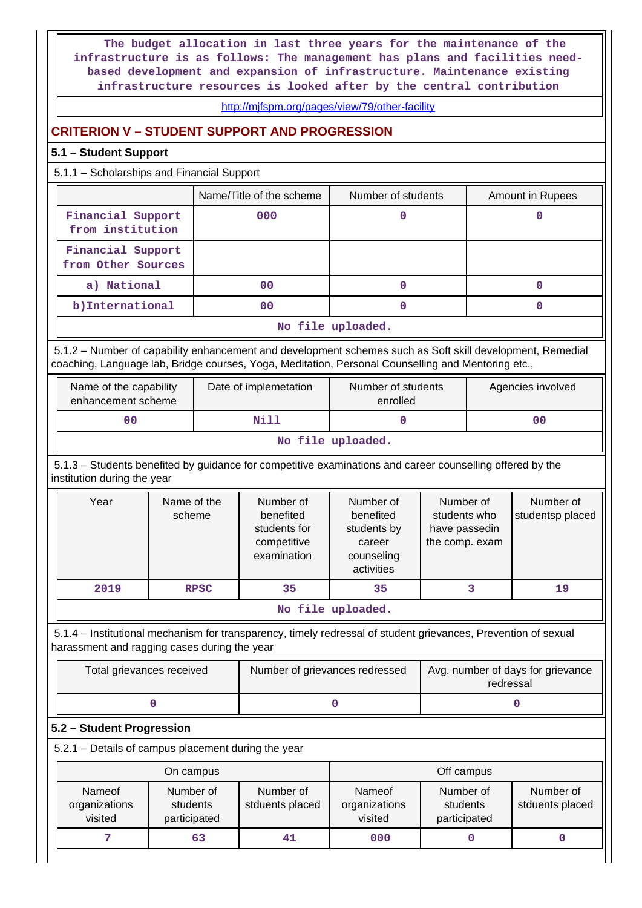**The budget allocation in last three years for the maintenance of the infrastructure is as follows: The management has plans and facilities needbased development and expansion of infrastructure. Maintenance existing infrastructure resources is looked after by the central contribution**

#### <http://mjfspm.org/pages/view/79/other-facility>

# **CRITERION V – STUDENT SUPPORT AND PROGRESSION**

# **5.1 – Student Support**

### 5.1.1 – Scholarships and Financial Support

|                                         | Name/Title of the scheme | Number of students | Amount in Rupees |  |  |  |
|-----------------------------------------|--------------------------|--------------------|------------------|--|--|--|
| Financial Support<br>from institution   | 000                      |                    |                  |  |  |  |
| Financial Support<br>from Other Sources |                          |                    |                  |  |  |  |
| a) National                             | 00                       |                    |                  |  |  |  |
| b) International                        | 00                       |                    |                  |  |  |  |
| No file uploaded.                       |                          |                    |                  |  |  |  |

 5.1.2 – Number of capability enhancement and development schemes such as Soft skill development, Remedial coaching, Language lab, Bridge courses, Yoga, Meditation, Personal Counselling and Mentoring etc.,

| Name of the capability<br>enhancement scheme | Date of implemetation | Number of students<br>enrolled | Agencies involved |  |  |  |
|----------------------------------------------|-----------------------|--------------------------------|-------------------|--|--|--|
| 00                                           | Nill                  |                                | 00                |  |  |  |
| きかん しょうりょう ハルフ ススパスパ                         |                       |                                |                   |  |  |  |

#### **No file uploaded.**

 5.1.3 – Students benefited by guidance for competitive examinations and career counselling offered by the institution during the year

| Year                            | Name of the<br>scheme | Number of<br>benefited<br>students for<br>competitive<br>examination | Number of<br>benefited<br>students by<br>career<br>counseling<br>activities | Number of<br>students who<br>have passedin<br>the comp. exam | Number of<br>studentsp placed |  |  |
|---------------------------------|-----------------------|----------------------------------------------------------------------|-----------------------------------------------------------------------------|--------------------------------------------------------------|-------------------------------|--|--|
| 2019                            | <b>RPSC</b>           | 35                                                                   | 35                                                                          |                                                              | 19                            |  |  |
| المحامية المستريد فالمتلق المتف |                       |                                                                      |                                                                             |                                                              |                               |  |  |

#### **No file uploaded.**

 5.1.4 – Institutional mechanism for transparency, timely redressal of student grievances, Prevention of sexual harassment and ragging cases during the year

| Total grievances received | Number of grievances redressed | Avg. number of days for grievance<br>redressal |
|---------------------------|--------------------------------|------------------------------------------------|
|                           |                                |                                                |

## **5.2 – Student Progression**

5.2.1 – Details of campus placement during the year

|                                    | On campus                             |                              | Off campus                         |                                       |                              |  |
|------------------------------------|---------------------------------------|------------------------------|------------------------------------|---------------------------------------|------------------------------|--|
| Nameof<br>organizations<br>visited | Number of<br>students<br>participated | Number of<br>stduents placed | Nameof<br>organizations<br>visited | Number of<br>students<br>participated | Number of<br>stduents placed |  |
|                                    | 63                                    | 41                           | 000                                |                                       |                              |  |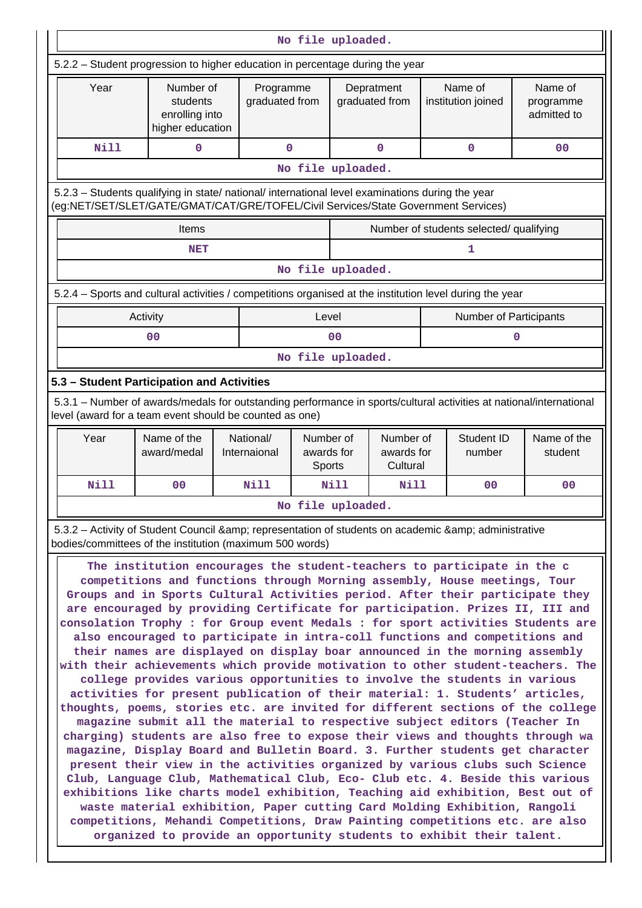|                                                                                                                                                                                                                                                                                                                                                                                                                                                                                                                                                                                                                                                                                                                                                                                                                                                                                                                                                                                                                                                                                                                                                                                                                                                                                                                                                                                                                                                                                                                                                                                                                                                                                                                                                    | No file uploaded.                                                                                                                                                              |                           |                                   |                |                                     |  |                                         |                                     |
|----------------------------------------------------------------------------------------------------------------------------------------------------------------------------------------------------------------------------------------------------------------------------------------------------------------------------------------------------------------------------------------------------------------------------------------------------------------------------------------------------------------------------------------------------------------------------------------------------------------------------------------------------------------------------------------------------------------------------------------------------------------------------------------------------------------------------------------------------------------------------------------------------------------------------------------------------------------------------------------------------------------------------------------------------------------------------------------------------------------------------------------------------------------------------------------------------------------------------------------------------------------------------------------------------------------------------------------------------------------------------------------------------------------------------------------------------------------------------------------------------------------------------------------------------------------------------------------------------------------------------------------------------------------------------------------------------------------------------------------------------|--------------------------------------------------------------------------------------------------------------------------------------------------------------------------------|---------------------------|-----------------------------------|----------------|-------------------------------------|--|-----------------------------------------|-------------------------------------|
| 5.2.2 – Student progression to higher education in percentage during the year                                                                                                                                                                                                                                                                                                                                                                                                                                                                                                                                                                                                                                                                                                                                                                                                                                                                                                                                                                                                                                                                                                                                                                                                                                                                                                                                                                                                                                                                                                                                                                                                                                                                      |                                                                                                                                                                                |                           |                                   |                |                                     |  |                                         |                                     |
| Year                                                                                                                                                                                                                                                                                                                                                                                                                                                                                                                                                                                                                                                                                                                                                                                                                                                                                                                                                                                                                                                                                                                                                                                                                                                                                                                                                                                                                                                                                                                                                                                                                                                                                                                                               | Number of<br>students<br>enrolling into<br>higher education                                                                                                                    |                           | Programme<br>graduated from       |                | Depratment<br>graduated from        |  | Name of<br>institution joined           | Name of<br>programme<br>admitted to |
| Nill                                                                                                                                                                                                                                                                                                                                                                                                                                                                                                                                                                                                                                                                                                                                                                                                                                                                                                                                                                                                                                                                                                                                                                                                                                                                                                                                                                                                                                                                                                                                                                                                                                                                                                                                               | 0                                                                                                                                                                              |                           | 0                                 |                | 0                                   |  | 0                                       | 0 <sub>0</sub>                      |
|                                                                                                                                                                                                                                                                                                                                                                                                                                                                                                                                                                                                                                                                                                                                                                                                                                                                                                                                                                                                                                                                                                                                                                                                                                                                                                                                                                                                                                                                                                                                                                                                                                                                                                                                                    |                                                                                                                                                                                |                           | No file uploaded.                 |                |                                     |  |                                         |                                     |
| 5.2.3 - Students qualifying in state/ national/ international level examinations during the year<br>(eg:NET/SET/SLET/GATE/GMAT/CAT/GRE/TOFEL/Civil Services/State Government Services)                                                                                                                                                                                                                                                                                                                                                                                                                                                                                                                                                                                                                                                                                                                                                                                                                                                                                                                                                                                                                                                                                                                                                                                                                                                                                                                                                                                                                                                                                                                                                             |                                                                                                                                                                                |                           |                                   |                |                                     |  |                                         |                                     |
|                                                                                                                                                                                                                                                                                                                                                                                                                                                                                                                                                                                                                                                                                                                                                                                                                                                                                                                                                                                                                                                                                                                                                                                                                                                                                                                                                                                                                                                                                                                                                                                                                                                                                                                                                    | <b>Items</b>                                                                                                                                                                   |                           |                                   |                |                                     |  | Number of students selected/ qualifying |                                     |
|                                                                                                                                                                                                                                                                                                                                                                                                                                                                                                                                                                                                                                                                                                                                                                                                                                                                                                                                                                                                                                                                                                                                                                                                                                                                                                                                                                                                                                                                                                                                                                                                                                                                                                                                                    | <b>NET</b>                                                                                                                                                                     |                           |                                   |                |                                     |  | 1                                       |                                     |
|                                                                                                                                                                                                                                                                                                                                                                                                                                                                                                                                                                                                                                                                                                                                                                                                                                                                                                                                                                                                                                                                                                                                                                                                                                                                                                                                                                                                                                                                                                                                                                                                                                                                                                                                                    |                                                                                                                                                                                |                           | No file uploaded.                 |                |                                     |  |                                         |                                     |
| 5.2.4 – Sports and cultural activities / competitions organised at the institution level during the year                                                                                                                                                                                                                                                                                                                                                                                                                                                                                                                                                                                                                                                                                                                                                                                                                                                                                                                                                                                                                                                                                                                                                                                                                                                                                                                                                                                                                                                                                                                                                                                                                                           |                                                                                                                                                                                |                           |                                   |                |                                     |  |                                         |                                     |
| Activity                                                                                                                                                                                                                                                                                                                                                                                                                                                                                                                                                                                                                                                                                                                                                                                                                                                                                                                                                                                                                                                                                                                                                                                                                                                                                                                                                                                                                                                                                                                                                                                                                                                                                                                                           |                                                                                                                                                                                |                           | Level                             |                |                                     |  | Number of Participants                  |                                     |
|                                                                                                                                                                                                                                                                                                                                                                                                                                                                                                                                                                                                                                                                                                                                                                                                                                                                                                                                                                                                                                                                                                                                                                                                                                                                                                                                                                                                                                                                                                                                                                                                                                                                                                                                                    | 0 <sub>0</sub>                                                                                                                                                                 |                           |                                   | 0 <sub>0</sub> |                                     |  |                                         | 0                                   |
|                                                                                                                                                                                                                                                                                                                                                                                                                                                                                                                                                                                                                                                                                                                                                                                                                                                                                                                                                                                                                                                                                                                                                                                                                                                                                                                                                                                                                                                                                                                                                                                                                                                                                                                                                    |                                                                                                                                                                                |                           | No file uploaded.                 |                |                                     |  |                                         |                                     |
| 5.3 - Student Participation and Activities                                                                                                                                                                                                                                                                                                                                                                                                                                                                                                                                                                                                                                                                                                                                                                                                                                                                                                                                                                                                                                                                                                                                                                                                                                                                                                                                                                                                                                                                                                                                                                                                                                                                                                         |                                                                                                                                                                                |                           |                                   |                |                                     |  |                                         |                                     |
|                                                                                                                                                                                                                                                                                                                                                                                                                                                                                                                                                                                                                                                                                                                                                                                                                                                                                                                                                                                                                                                                                                                                                                                                                                                                                                                                                                                                                                                                                                                                                                                                                                                                                                                                                    | 5.3.1 – Number of awards/medals for outstanding performance in sports/cultural activities at national/international<br>level (award for a team event should be counted as one) |                           |                                   |                |                                     |  |                                         |                                     |
| Year                                                                                                                                                                                                                                                                                                                                                                                                                                                                                                                                                                                                                                                                                                                                                                                                                                                                                                                                                                                                                                                                                                                                                                                                                                                                                                                                                                                                                                                                                                                                                                                                                                                                                                                                               | Name of the<br>award/medal                                                                                                                                                     | National/<br>Internaional | Number of<br>awards for<br>Sports |                | Number of<br>awards for<br>Cultural |  | <b>Student ID</b><br>number             | Name of the<br>student              |
| <b>Nill</b>                                                                                                                                                                                                                                                                                                                                                                                                                                                                                                                                                                                                                                                                                                                                                                                                                                                                                                                                                                                                                                                                                                                                                                                                                                                                                                                                                                                                                                                                                                                                                                                                                                                                                                                                        | 0 <sub>0</sub>                                                                                                                                                                 | <b>Nill</b>               |                                   | <b>Nill</b>    | <b>Nill</b>                         |  | 0 <sup>0</sup>                          | 0 <sub>0</sub>                      |
|                                                                                                                                                                                                                                                                                                                                                                                                                                                                                                                                                                                                                                                                                                                                                                                                                                                                                                                                                                                                                                                                                                                                                                                                                                                                                                                                                                                                                                                                                                                                                                                                                                                                                                                                                    |                                                                                                                                                                                |                           | No file uploaded.                 |                |                                     |  |                                         |                                     |
|                                                                                                                                                                                                                                                                                                                                                                                                                                                                                                                                                                                                                                                                                                                                                                                                                                                                                                                                                                                                                                                                                                                                                                                                                                                                                                                                                                                                                                                                                                                                                                                                                                                                                                                                                    |                                                                                                                                                                                |                           |                                   |                |                                     |  |                                         |                                     |
| 5.3.2 – Activity of Student Council & amp; representation of students on academic & amp; administrative<br>bodies/committees of the institution (maximum 500 words)<br>The institution encourages the student-teachers to participate in the c<br>competitions and functions through Morning assembly, House meetings, Tour<br>Groups and in Sports Cultural Activities period. After their participate they<br>are encouraged by providing Certificate for participation. Prizes II, III and<br>consolation Trophy : for Group event Medals : for sport activities Students are<br>also encouraged to participate in intra-coll functions and competitions and<br>their names are displayed on display boar announced in the morning assembly<br>with their achievements which provide motivation to other student-teachers. The<br>college provides various opportunities to involve the students in various<br>activities for present publication of their material: 1. Students' articles,<br>thoughts, poems, stories etc. are invited for different sections of the college<br>magazine submit all the material to respective subject editors (Teacher In<br>charging) students are also free to expose their views and thoughts through wa<br>magazine, Display Board and Bulletin Board. 3. Further students get character<br>present their view in the activities organized by various clubs such Science<br>Club, Language Club, Mathematical Club, Eco- Club etc. 4. Beside this various<br>exhibitions like charts model exhibition, Teaching aid exhibition, Best out of<br>waste material exhibition, Paper cutting Card Molding Exhibition, Rangoli<br>competitions, Mehandi Competitions, Draw Painting competitions etc. are also |                                                                                                                                                                                |                           |                                   |                |                                     |  |                                         |                                     |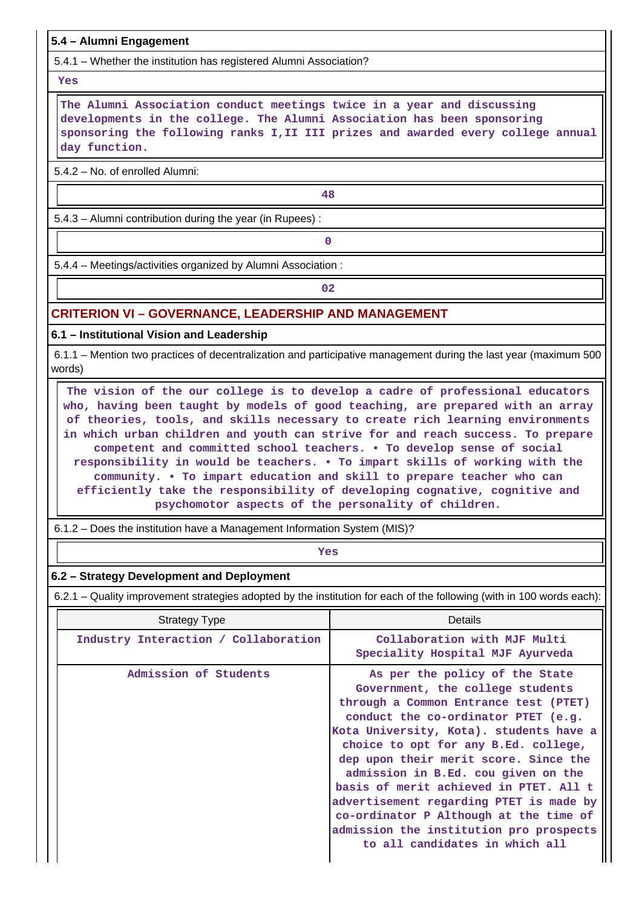# **5.4 – Alumni Engagement**

5.4.1 – Whether the institution has registered Alumni Association?

#### **Yes**

 **The Alumni Association conduct meetings twice in a year and discussing developments in the college. The Alumni Association has been sponsoring sponsoring the following ranks I,II III prizes and awarded every college annual day function.**

5.4.2 – No. of enrolled Alumni:

**48**

5.4.3 – Alumni contribution during the year (in Rupees) :

**0**

5.4.4 – Meetings/activities organized by Alumni Association :

**02**

# **CRITERION VI – GOVERNANCE, LEADERSHIP AND MANAGEMENT**

**6.1 – Institutional Vision and Leadership**

 6.1.1 – Mention two practices of decentralization and participative management during the last year (maximum 500 words)

 **The vision of the our college is to develop a cadre of professional educators who, having been taught by models of good teaching, are prepared with an array of theories, tools, and skills necessary to create rich learning environments in which urban children and youth can strive for and reach success. To prepare competent and committed school teachers. • To develop sense of social responsibility in would be teachers. • To impart skills of working with the community. • To impart education and skill to prepare teacher who can efficiently take the responsibility of developing cognative, cognitive and psychomotor aspects of the personality of children.**

6.1.2 – Does the institution have a Management Information System (MIS)?

*Yes* 

# **6.2 – Strategy Development and Deployment**

6.2.1 – Quality improvement strategies adopted by the institution for each of the following (with in 100 words each):

| <b>Strategy Type</b>                 | Details                                                                                                                                                                                                                                                                                                                                                                                                                                                                                                                           |
|--------------------------------------|-----------------------------------------------------------------------------------------------------------------------------------------------------------------------------------------------------------------------------------------------------------------------------------------------------------------------------------------------------------------------------------------------------------------------------------------------------------------------------------------------------------------------------------|
| Industry Interaction / Collaboration | Collaboration with MJF Multi<br>Speciality Hospital MJF Ayurveda                                                                                                                                                                                                                                                                                                                                                                                                                                                                  |
| Admission of Students                | As per the policy of the State<br>Government, the college students<br>through a Common Entrance test (PTET)<br>conduct the co-ordinator PTET (e.g.<br>Kota University, Kota). students have a<br>choice to opt for any B.Ed. college,<br>dep upon their merit score. Since the<br>admission in B.Ed. cou given on the<br>basis of merit achieved in PTET. All t<br>advertisement regarding PTET is made by<br>co-ordinator P Although at the time of<br>admission the institution pro prospects<br>to all candidates in which all |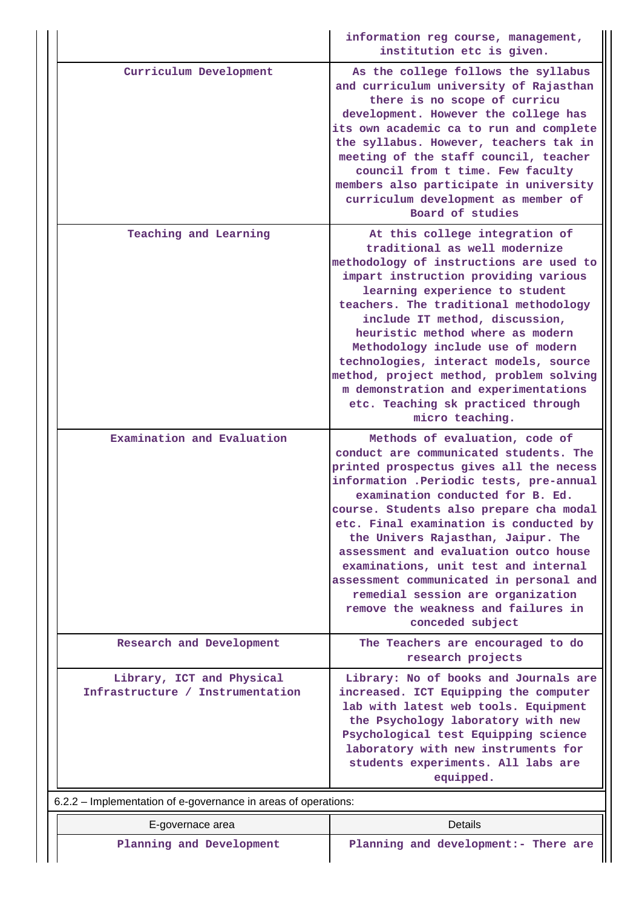|                                                                | information reg course, management,<br>institution etc is given.                                                                                                                                                                                                                                                                                                                                                                                                                                                                                          |
|----------------------------------------------------------------|-----------------------------------------------------------------------------------------------------------------------------------------------------------------------------------------------------------------------------------------------------------------------------------------------------------------------------------------------------------------------------------------------------------------------------------------------------------------------------------------------------------------------------------------------------------|
| Curriculum Development                                         | As the college follows the syllabus<br>and curriculum university of Rajasthan<br>there is no scope of curricu<br>development. However the college has<br>its own academic ca to run and complete<br>the syllabus. However, teachers tak in<br>meeting of the staff council, teacher<br>council from t time. Few faculty<br>members also participate in university<br>curriculum development as member of<br>Board of studies                                                                                                                              |
| Teaching and Learning                                          | At this college integration of<br>traditional as well modernize<br>methodology of instructions are used to<br>impart instruction providing various<br>learning experience to student<br>teachers. The traditional methodology<br>include IT method, discussion,<br>heuristic method where as modern<br>Methodology include use of modern<br>technologies, interact models, source<br>method, project method, problem solving<br>m demonstration and experimentations<br>etc. Teaching sk practiced through<br>micro teaching.                             |
| Examination and Evaluation                                     | Methods of evaluation, code of<br>conduct are communicated students. The<br>printed prospectus gives all the necess<br>information .Periodic tests, pre-annual<br>examination conducted for B. Ed.<br>course. Students also prepare cha modal<br>etc. Final examination is conducted by<br>the Univers Rajasthan, Jaipur. The<br>assessment and evaluation outco house<br>examinations, unit test and internal<br>assessment communicated in personal and<br>remedial session are organization<br>remove the weakness and failures in<br>conceded subject |
| Research and Development                                       | The Teachers are encouraged to do<br>research projects                                                                                                                                                                                                                                                                                                                                                                                                                                                                                                    |
| Library, ICT and Physical<br>Infrastructure / Instrumentation  | Library: No of books and Journals are<br>increased. ICT Equipping the computer<br>lab with latest web tools. Equipment<br>the Psychology laboratory with new<br>Psychological test Equipping science<br>laboratory with new instruments for<br>students experiments. All labs are<br>equipped.                                                                                                                                                                                                                                                            |
| 6.2.2 – Implementation of e-governance in areas of operations: |                                                                                                                                                                                                                                                                                                                                                                                                                                                                                                                                                           |
| E-governace area                                               | Details                                                                                                                                                                                                                                                                                                                                                                                                                                                                                                                                                   |
| Planning and Development                                       | Planning and development:- There are                                                                                                                                                                                                                                                                                                                                                                                                                                                                                                                      |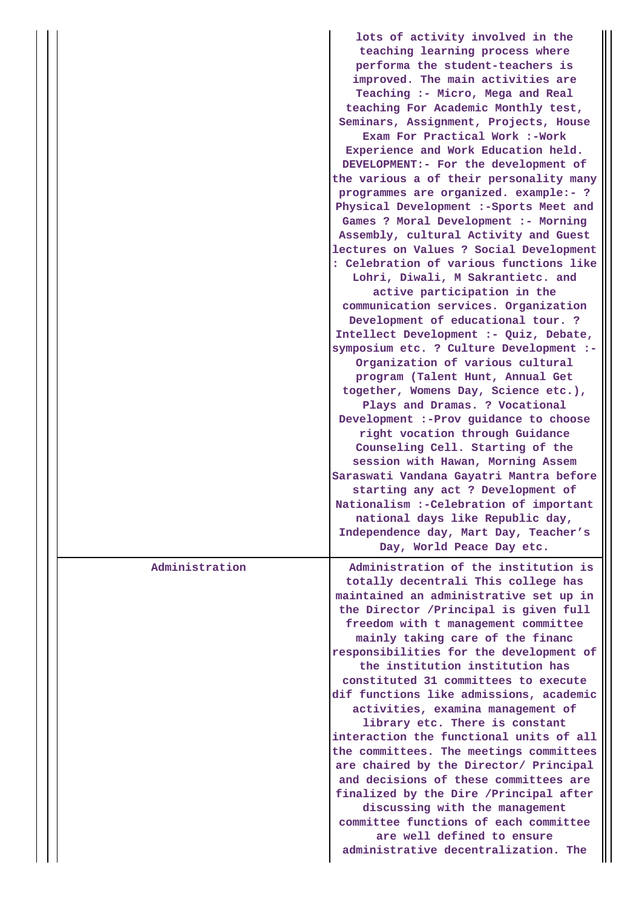|                | lots of activity involved in the<br>teaching learning process where<br>performa the student-teachers is<br>improved. The main activities are<br>Teaching :- Micro, Mega and Real<br>teaching For Academic Monthly test,<br>Seminars, Assignment, Projects, House<br>Exam For Practical Work :-Work<br>Experience and Work Education held.<br>DEVELOPMENT:- For the development of<br>the various a of their personality many<br>programmes are organized. example:- ?<br>Physical Development :- Sports Meet and<br>Games ? Moral Development :- Morning<br>Assembly, cultural Activity and Guest<br>lectures on Values ? Social Development<br>: Celebration of various functions like<br>Lohri, Diwali, M Sakrantietc. and<br>active participation in the<br>communication services. Organization<br>Development of educational tour. ?<br>Intellect Development :- Quiz, Debate,<br>symposium etc. ? Culture Development :-<br>Organization of various cultural<br>program (Talent Hunt, Annual Get<br>together, Womens Day, Science etc.),<br>Plays and Dramas. ? Vocational<br>Development :- Prov guidance to choose<br>right vocation through Guidance<br>Counseling Cell. Starting of the<br>session with Hawan, Morning Assem<br>Saraswati Vandana Gayatri Mantra before<br>starting any act ? Development of<br>Nationalism :- Celebration of important<br>national days like Republic day,<br>Independence day, Mart Day, Teacher's<br>Day, World Peace Day etc. |
|----------------|-----------------------------------------------------------------------------------------------------------------------------------------------------------------------------------------------------------------------------------------------------------------------------------------------------------------------------------------------------------------------------------------------------------------------------------------------------------------------------------------------------------------------------------------------------------------------------------------------------------------------------------------------------------------------------------------------------------------------------------------------------------------------------------------------------------------------------------------------------------------------------------------------------------------------------------------------------------------------------------------------------------------------------------------------------------------------------------------------------------------------------------------------------------------------------------------------------------------------------------------------------------------------------------------------------------------------------------------------------------------------------------------------------------------------------------------------------------------------------|
| Administration | Administration of the institution is<br>totally decentrali This college has<br>maintained an administrative set up in<br>the Director / Principal is given full<br>freedom with t management committee<br>mainly taking care of the financ<br>responsibilities for the development of<br>the institution institution has<br>constituted 31 committees to execute<br>dif functions like admissions, academic<br>activities, examina management of<br>library etc. There is constant<br>interaction the functional units of all<br>the committees. The meetings committees<br>are chaired by the Director/ Principal<br>and decisions of these committees are<br>finalized by the Dire / Principal after                                                                                                                                                                                                                                                                                                                                                                                                                                                                                                                                                                                                                                                                                                                                                                      |
|                | discussing with the management<br>committee functions of each committee<br>are well defined to ensure<br>administrative decentralization. The                                                                                                                                                                                                                                                                                                                                                                                                                                                                                                                                                                                                                                                                                                                                                                                                                                                                                                                                                                                                                                                                                                                                                                                                                                                                                                                               |
|                |                                                                                                                                                                                                                                                                                                                                                                                                                                                                                                                                                                                                                                                                                                                                                                                                                                                                                                                                                                                                                                                                                                                                                                                                                                                                                                                                                                                                                                                                             |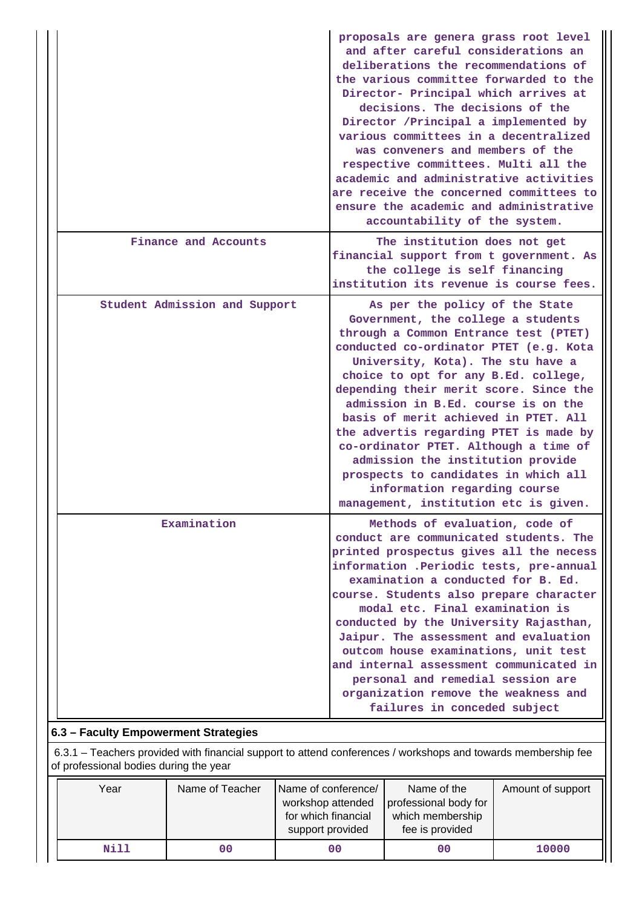|                               | proposals are genera grass root level<br>and after careful considerations an<br>deliberations the recommendations of<br>the various committee forwarded to the<br>Director- Principal which arrives at<br>decisions. The decisions of the<br>Director /Principal a implemented by<br>various committees in a decentralized<br>was conveners and members of the<br>respective committees. Multi all the<br>academic and administrative activities<br>are receive the concerned committees to<br>ensure the academic and administrative<br>accountability of the system.                                 |
|-------------------------------|--------------------------------------------------------------------------------------------------------------------------------------------------------------------------------------------------------------------------------------------------------------------------------------------------------------------------------------------------------------------------------------------------------------------------------------------------------------------------------------------------------------------------------------------------------------------------------------------------------|
| Finance and Accounts          | The institution does not get<br>financial support from t government. As<br>the college is self financing<br>institution its revenue is course fees.                                                                                                                                                                                                                                                                                                                                                                                                                                                    |
| Student Admission and Support | As per the policy of the State<br>Government, the college a students<br>through a Common Entrance test (PTET)<br>conducted co-ordinator PTET (e.g. Kota<br>University, Kota). The stu have a<br>choice to opt for any B.Ed. college,<br>depending their merit score. Since the<br>admission in B.Ed. course is on the<br>basis of merit achieved in PTET. All<br>the advertis regarding PTET is made by<br>co-ordinator PTET. Although a time of<br>admission the institution provide<br>prospects to candidates in which all<br>information regarding course<br>management, institution etc is given. |
| Examination                   | Methods of evaluation, code of<br>conduct are communicated students. The<br>printed prospectus gives all the necess<br>information .Periodic tests, pre-annual<br>examination a conducted for B. Ed.<br>course. Students also prepare character<br>modal etc. Final examination is<br>conducted by the University Rajasthan,<br>Jaipur. The assessment and evaluation<br>outcom house examinations, unit test<br>and internal assessment communicated in<br>personal and remedial session are<br>organization remove the weakness and<br>failures in conceded subject                                  |

# **6.3 – Faculty Empowerment Strategies**

 6.3.1 – Teachers provided with financial support to attend conferences / workshops and towards membership fee of professional bodies during the year

| Year | Name of conference/<br>Name of Teacher<br>workshop attended<br>for which financial<br>support provided |    | Name of the<br>professional body for<br>which membership<br>fee is provided | Amount of support |
|------|--------------------------------------------------------------------------------------------------------|----|-----------------------------------------------------------------------------|-------------------|
| Nill | 00                                                                                                     | 00 | 00                                                                          | 10000             |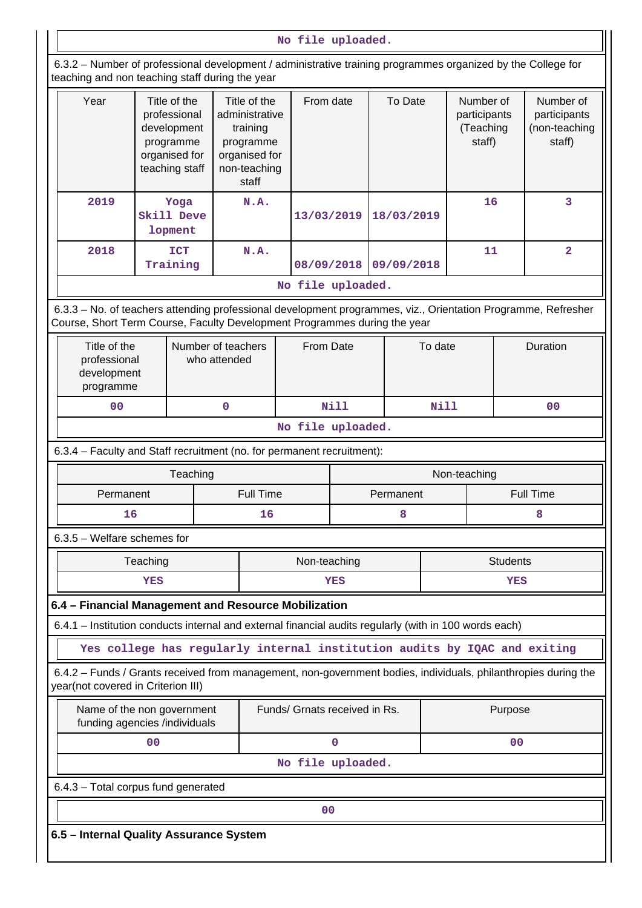**No file uploaded.**

 6.3.2 – Number of professional development / administrative training programmes organized by the College for teaching and non teaching staff during the year

| readining and non-readining stan during the year                       |                                                                                                                                                                                                                                  |                                    |                      |             |            |                                                  |            |                                                      |  |
|------------------------------------------------------------------------|----------------------------------------------------------------------------------------------------------------------------------------------------------------------------------------------------------------------------------|------------------------------------|----------------------|-------------|------------|--------------------------------------------------|------------|------------------------------------------------------|--|
| Year                                                                   | Title of the<br>Title of the<br>professional<br>administrative<br>development<br>training<br>programme<br>programme<br>organised for<br>organised for<br>teaching staff<br>non-teaching<br>2019<br>Yoga<br>Skill Deve<br>lopment |                                    | From date            |             | To Date    | Number of<br>participants<br>(Teaching<br>staff) |            | Number of<br>participants<br>(non-teaching<br>staff) |  |
|                                                                        |                                                                                                                                                                                                                                  |                                    | 13/03/2019           |             | 18/03/2019 | 16                                               |            | 3                                                    |  |
| 2018                                                                   | <b>ICT</b><br>Training                                                                                                                                                                                                           |                                    | 08/09/2018           |             | 09/09/2018 | 11                                               |            | $\overline{\mathbf{2}}$                              |  |
|                                                                        |                                                                                                                                                                                                                                  |                                    | No file uploaded.    |             |            |                                                  |            |                                                      |  |
|                                                                        | 6.3.3 - No. of teachers attending professional development programmes, viz., Orientation Programme, Refresher<br>Course, Short Term Course, Faculty Development Programmes during the year                                       |                                    |                      |             |            |                                                  |            |                                                      |  |
| Title of the<br>professional<br>development<br>programme               |                                                                                                                                                                                                                                  | Number of teachers<br>who attended | From Date<br>To date |             |            |                                                  | Duration   |                                                      |  |
| 00                                                                     |                                                                                                                                                                                                                                  | $\mathbf 0$                        | <b>Nill</b>          | <b>Nill</b> |            |                                                  | 00         |                                                      |  |
|                                                                        |                                                                                                                                                                                                                                  |                                    | No file uploaded.    |             |            |                                                  |            |                                                      |  |
| 6.3.4 - Faculty and Staff recruitment (no. for permanent recruitment): |                                                                                                                                                                                                                                  |                                    |                      |             |            |                                                  |            |                                                      |  |
|                                                                        | Teaching                                                                                                                                                                                                                         |                                    |                      |             |            | Non-teaching                                     |            |                                                      |  |
| Permanent                                                              |                                                                                                                                                                                                                                  | <b>Full Time</b>                   | Permanent            |             |            |                                                  |            | <b>Full Time</b>                                     |  |
| 16                                                                     |                                                                                                                                                                                                                                  | 16                                 |                      |             | 8          | 8                                                |            |                                                      |  |
| 6.3.5 - Welfare schemes for                                            |                                                                                                                                                                                                                                  |                                    |                      |             |            |                                                  |            |                                                      |  |
| <b>Students</b><br>Teaching<br>Non-teaching                            |                                                                                                                                                                                                                                  |                                    |                      |             |            |                                                  |            |                                                      |  |
|                                                                        | <b>YES</b>                                                                                                                                                                                                                       |                                    | YES                  |             |            |                                                  | <b>YES</b> |                                                      |  |

## **6.4 – Financial Management and Resource Mobilization**

6.4.1 – Institution conducts internal and external financial audits regularly (with in 100 words each)

**Yes college has regularly internal institution audits by IQAC and exiting**

 6.4.2 – Funds / Grants received from management, non-government bodies, individuals, philanthropies during the year(not covered in Criterion III)

| Name of the non government<br>funding agencies /individuals | Funds/ Grnats received in Rs. | Purpose |  |  |  |  |  |  |
|-------------------------------------------------------------|-------------------------------|---------|--|--|--|--|--|--|
| 00                                                          |                               | 00      |  |  |  |  |  |  |
| No file uploaded.                                           |                               |         |  |  |  |  |  |  |
| 6.4.3 - Total corpus fund generated                         |                               |         |  |  |  |  |  |  |
| 00                                                          |                               |         |  |  |  |  |  |  |

**6.5 – Internal Quality Assurance System**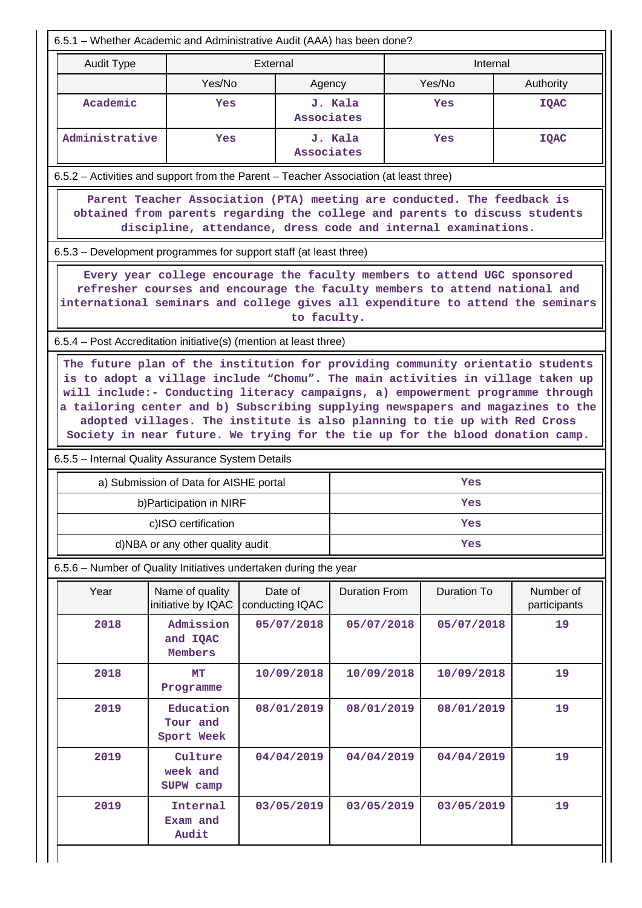|                                                                                                                                                                                                                                                                                                                                 | 6.5.1 – Whether Academic and Administrative Audit (AAA) has been done? |                            |                                |                    |                           |  |  |  |
|---------------------------------------------------------------------------------------------------------------------------------------------------------------------------------------------------------------------------------------------------------------------------------------------------------------------------------|------------------------------------------------------------------------|----------------------------|--------------------------------|--------------------|---------------------------|--|--|--|
| <b>Audit Type</b>                                                                                                                                                                                                                                                                                                               | External                                                               |                            |                                | Internal           |                           |  |  |  |
|                                                                                                                                                                                                                                                                                                                                 | Yes/No                                                                 | Agency                     |                                | Yes/No             | Authority                 |  |  |  |
| Academic                                                                                                                                                                                                                                                                                                                        | Yes                                                                    | Associates                 | J. Kala                        | Yes                | <b>IQAC</b>               |  |  |  |
| Administrative                                                                                                                                                                                                                                                                                                                  | Yes                                                                    | Associates                 | J. Kala                        | Yes                | <b>IQAC</b>               |  |  |  |
| 6.5.2 – Activities and support from the Parent – Teacher Association (at least three)                                                                                                                                                                                                                                           |                                                                        |                            |                                |                    |                           |  |  |  |
| Parent Teacher Association (PTA) meeting are conducted. The feedback is<br>obtained from parents regarding the college and parents to discuss students<br>discipline, attendance, dress code and internal examinations.                                                                                                         |                                                                        |                            |                                |                    |                           |  |  |  |
| 6.5.3 – Development programmes for support staff (at least three)                                                                                                                                                                                                                                                               |                                                                        |                            |                                |                    |                           |  |  |  |
| Every year college encourage the faculty members to attend UGC sponsored<br>refresher courses and encourage the faculty members to attend national and<br>international seminars and college gives all expenditure to attend the seminars<br>to faculty.                                                                        |                                                                        |                            |                                |                    |                           |  |  |  |
| 6.5.4 - Post Accreditation initiative(s) (mention at least three)                                                                                                                                                                                                                                                               |                                                                        |                            |                                |                    |                           |  |  |  |
| will include:- Conducting literacy campaigns, a) empowerment programme through<br>a tailoring center and b) Subscribing supplying newspapers and magazines to the<br>adopted villages. The institute is also planning to tie up with Red Cross<br>Society in near future. We trying for the tie up for the blood donation camp. |                                                                        |                            |                                |                    |                           |  |  |  |
| 6.5.5 - Internal Quality Assurance System Details                                                                                                                                                                                                                                                                               |                                                                        |                            |                                |                    |                           |  |  |  |
|                                                                                                                                                                                                                                                                                                                                 | a) Submission of Data for AISHE portal                                 |                            |                                | Yes                |                           |  |  |  |
|                                                                                                                                                                                                                                                                                                                                 | b) Participation in NIRF                                               |                            |                                | Yes                |                           |  |  |  |
|                                                                                                                                                                                                                                                                                                                                 | c)ISO certification                                                    |                            |                                | Yes                |                           |  |  |  |
|                                                                                                                                                                                                                                                                                                                                 | d)NBA or any other quality audit                                       |                            | Yes                            |                    |                           |  |  |  |
| 6.5.6 - Number of Quality Initiatives undertaken during the year                                                                                                                                                                                                                                                                |                                                                        |                            |                                |                    |                           |  |  |  |
| Year                                                                                                                                                                                                                                                                                                                            | Name of quality<br>initiative by IQAC                                  | Date of<br>conducting IQAC | <b>Duration From</b>           | <b>Duration To</b> | Number of<br>participants |  |  |  |
| 2018                                                                                                                                                                                                                                                                                                                            | Admission<br>and IQAC<br>Members                                       | 05/07/2018                 | 05/07/2018                     | 05/07/2018         | 19                        |  |  |  |
| 2018                                                                                                                                                                                                                                                                                                                            | MT<br>Programme                                                        | 10/09/2018                 | 10/09/2018                     | 10/09/2018         | 19                        |  |  |  |
| 2019                                                                                                                                                                                                                                                                                                                            | Education<br>Tour and<br>Sport Week                                    | 08/01/2019                 | 08/01/2019<br>08/01/2019<br>19 |                    |                           |  |  |  |
| 2019                                                                                                                                                                                                                                                                                                                            | Culture<br>week and<br>SUPW camp                                       | 04/04/2019                 | 04/04/2019                     | 04/04/2019<br>19   |                           |  |  |  |
| 2019                                                                                                                                                                                                                                                                                                                            | Internal<br>Exam and                                                   | 03/05/2019                 | 03/05/2019                     | 03/05/2019         | 19                        |  |  |  |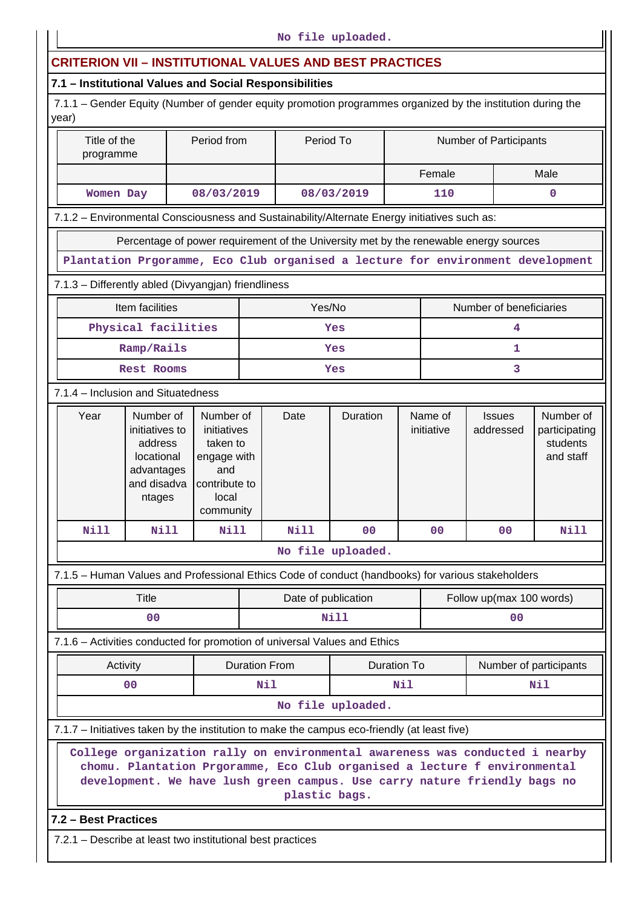# **CRITERION VII – INSTITUTIONAL VALUES AND BEST PRACTICES**

# **7.1 – Institutional Values and Social Responsibilities**

 7.1.1 – Gender Equity (Number of gender equity promotion programmes organized by the institution during the year)

| Title of the<br>Period from<br>programme                                                            |                                                                                                                                                                                                                                                         |                                                                                                   | Period To                           |                     | <b>Number of Participants</b> |        |                       |                          |                        |                                                     |
|-----------------------------------------------------------------------------------------------------|---------------------------------------------------------------------------------------------------------------------------------------------------------------------------------------------------------------------------------------------------------|---------------------------------------------------------------------------------------------------|-------------------------------------|---------------------|-------------------------------|--------|-----------------------|--------------------------|------------------------|-----------------------------------------------------|
|                                                                                                     |                                                                                                                                                                                                                                                         |                                                                                                   |                                     |                     |                               | Female |                       |                          | Male                   |                                                     |
| Women Day                                                                                           |                                                                                                                                                                                                                                                         | 08/03/2019                                                                                        |                                     |                     | 08/03/2019                    |        | 110                   |                          |                        | $\mathbf 0$                                         |
| 7.1.2 - Environmental Consciousness and Sustainability/Alternate Energy initiatives such as:        |                                                                                                                                                                                                                                                         |                                                                                                   |                                     |                     |                               |        |                       |                          |                        |                                                     |
|                                                                                                     | Percentage of power requirement of the University met by the renewable energy sources                                                                                                                                                                   |                                                                                                   |                                     |                     |                               |        |                       |                          |                        |                                                     |
|                                                                                                     | Plantation Prgoramme, Eco Club organised a lecture for environment development                                                                                                                                                                          |                                                                                                   |                                     |                     |                               |        |                       |                          |                        |                                                     |
| 7.1.3 - Differently abled (Divyangjan) friendliness                                                 |                                                                                                                                                                                                                                                         |                                                                                                   |                                     |                     |                               |        |                       |                          |                        |                                                     |
|                                                                                                     | Item facilities                                                                                                                                                                                                                                         |                                                                                                   |                                     | Yes/No              |                               |        |                       | Number of beneficiaries  |                        |                                                     |
|                                                                                                     | Physical facilities                                                                                                                                                                                                                                     |                                                                                                   |                                     |                     | Yes                           |        |                       | 4                        |                        |                                                     |
|                                                                                                     | Ramp/Rails                                                                                                                                                                                                                                              |                                                                                                   |                                     |                     | Yes                           |        |                       | 1                        |                        |                                                     |
|                                                                                                     | Rest Rooms                                                                                                                                                                                                                                              |                                                                                                   |                                     |                     | Yes                           |        |                       |                          | 3                      |                                                     |
| 7.1.4 - Inclusion and Situatedness                                                                  |                                                                                                                                                                                                                                                         |                                                                                                   |                                     |                     |                               |        |                       |                          |                        |                                                     |
| Year<br>Number of<br>initiatives to<br>address<br>locational<br>advantages<br>and disadva<br>ntages |                                                                                                                                                                                                                                                         | Number of<br>initiatives<br>taken to<br>engage with<br>and<br>contribute to<br>local<br>community |                                     | Date                | Duration                      |        | Name of<br>initiative |                          | addressed              | Number of<br>participating<br>students<br>and staff |
| <b>Nill</b>                                                                                         | <b>Nill</b>                                                                                                                                                                                                                                             | <b>Nill</b>                                                                                       |                                     | <b>Nill</b>         | 0 <sub>0</sub>                |        | 0 <sub>0</sub>        | 0 <sub>0</sub>           |                        | <b>Nill</b>                                         |
|                                                                                                     |                                                                                                                                                                                                                                                         |                                                                                                   |                                     |                     | No file uploaded.             |        |                       |                          |                        |                                                     |
| 7.1.5 - Human Values and Professional Ethics Code of conduct (handbooks) for various stakeholders   |                                                                                                                                                                                                                                                         |                                                                                                   |                                     |                     |                               |        |                       |                          |                        |                                                     |
|                                                                                                     | <b>Title</b>                                                                                                                                                                                                                                            |                                                                                                   |                                     | Date of publication |                               |        |                       | Follow up(max 100 words) |                        |                                                     |
|                                                                                                     | 00                                                                                                                                                                                                                                                      |                                                                                                   |                                     |                     | Nill                          |        |                       | 0 <sup>0</sup>           |                        |                                                     |
| 7.1.6 - Activities conducted for promotion of universal Values and Ethics                           |                                                                                                                                                                                                                                                         |                                                                                                   |                                     |                     |                               |        |                       |                          |                        |                                                     |
|                                                                                                     | Activity                                                                                                                                                                                                                                                |                                                                                                   | <b>Duration From</b><br>Duration To |                     |                               |        |                       |                          | Number of participants |                                                     |
|                                                                                                     | 0 <sup>0</sup>                                                                                                                                                                                                                                          |                                                                                                   |                                     | Nil<br>Nil          |                               |        | Nil                   |                          |                        |                                                     |
|                                                                                                     |                                                                                                                                                                                                                                                         |                                                                                                   |                                     |                     | No file uploaded.             |        |                       |                          |                        |                                                     |
| 7.1.7 – Initiatives taken by the institution to make the campus eco-friendly (at least five)        |                                                                                                                                                                                                                                                         |                                                                                                   |                                     |                     |                               |        |                       |                          |                        |                                                     |
|                                                                                                     | College organization rally on environmental awareness was conducted i nearby<br>chomu. Plantation Prgoramme, Eco Club organised a lecture f environmental<br>development. We have lush green campus. Use carry nature friendly bags no<br>plastic bags. |                                                                                                   |                                     |                     |                               |        |                       |                          |                        |                                                     |
|                                                                                                     | 7.2 - Best Practices                                                                                                                                                                                                                                    |                                                                                                   |                                     |                     |                               |        |                       |                          |                        |                                                     |
| 7.2.1 – Describe at least two institutional best practices                                          |                                                                                                                                                                                                                                                         |                                                                                                   |                                     |                     |                               |        |                       |                          |                        |                                                     |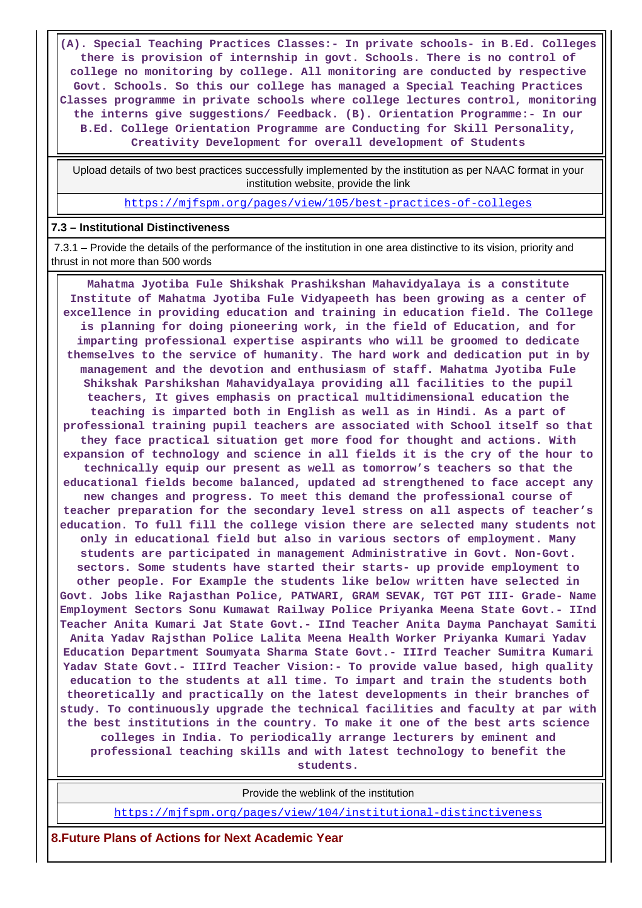**(A). Special Teaching Practices Classes:- In private schools- in B.Ed. Colleges there is provision of internship in govt. Schools. There is no control of college no monitoring by college. All monitoring are conducted by respective Govt. Schools. So this our college has managed a Special Teaching Practices Classes programme in private schools where college lectures control, monitoring the interns give suggestions/ Feedback. (B). Orientation Programme:- In our B.Ed. College Orientation Programme are Conducting for Skill Personality, Creativity Development for overall development of Students**

 Upload details of two best practices successfully implemented by the institution as per NAAC format in your institution website, provide the link

<https://mjfspm.org/pages/view/105/best-practices-of-colleges>

#### **7.3 – Institutional Distinctiveness**

 7.3.1 – Provide the details of the performance of the institution in one area distinctive to its vision, priority and thrust in not more than 500 words

 **Mahatma Jyotiba Fule Shikshak Prashikshan Mahavidyalaya is a constitute Institute of Mahatma Jyotiba Fule Vidyapeeth has been growing as a center of excellence in providing education and training in education field. The College is planning for doing pioneering work, in the field of Education, and for imparting professional expertise aspirants who will be groomed to dedicate themselves to the service of humanity. The hard work and dedication put in by management and the devotion and enthusiasm of staff. Mahatma Jyotiba Fule Shikshak Parshikshan Mahavidyalaya providing all facilities to the pupil teachers, It gives emphasis on practical multidimensional education the teaching is imparted both in English as well as in Hindi. As a part of professional training pupil teachers are associated with School itself so that they face practical situation get more food for thought and actions. With expansion of technology and science in all fields it is the cry of the hour to technically equip our present as well as tomorrow's teachers so that the educational fields become balanced, updated ad strengthened to face accept any new changes and progress. To meet this demand the professional course of teacher preparation for the secondary level stress on all aspects of teacher's education. To full fill the college vision there are selected many students not only in educational field but also in various sectors of employment. Many students are participated in management Administrative in Govt. Non-Govt. sectors. Some students have started their starts- up provide employment to other people. For Example the students like below written have selected in Govt. Jobs like Rajasthan Police, PATWARI, GRAM SEVAK, TGT PGT III- Grade- Name Employment Sectors Sonu Kumawat Railway Police Priyanka Meena State Govt.- IInd Teacher Anita Kumari Jat State Govt.- IInd Teacher Anita Dayma Panchayat Samiti Anita Yadav Rajsthan Police Lalita Meena Health Worker Priyanka Kumari Yadav Education Department Soumyata Sharma State Govt.- IIIrd Teacher Sumitra Kumari Yadav State Govt.- IIIrd Teacher Vision:- To provide value based, high quality education to the students at all time. To impart and train the students both theoretically and practically on the latest developments in their branches of study. To continuously upgrade the technical facilities and faculty at par with the best institutions in the country. To make it one of the best arts science colleges in India. To periodically arrange lecturers by eminent and professional teaching skills and with latest technology to benefit the students.**

Provide the weblink of the institution

<https://mjfspm.org/pages/view/104/institutional-distinctiveness>

**8.Future Plans of Actions for Next Academic Year**